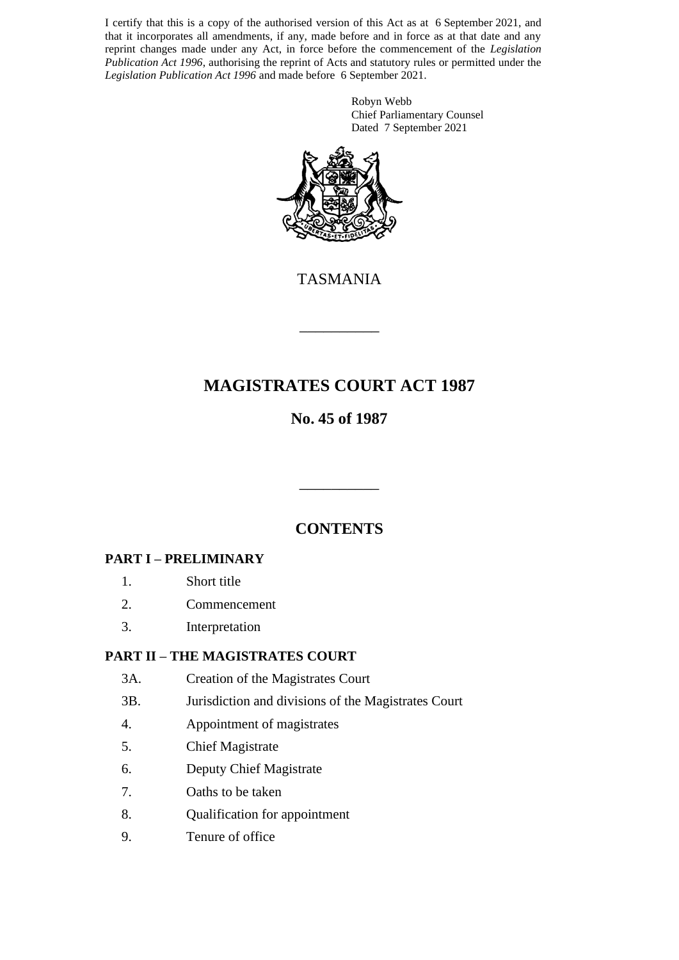I certify that this is a copy of the authorised version of this Act as at 6 September 2021, and that it incorporates all amendments, if any, made before and in force as at that date and any reprint changes made under any Act, in force before the commencement of the *Legislation Publication Act 1996*, authorising the reprint of Acts and statutory rules or permitted under the *Legislation Publication Act 1996* and made before 6 September 2021.

> Robyn Webb Chief Parliamentary Counsel Dated 7 September 2021



TASMANIA

\_\_\_\_\_\_\_\_\_\_

## **MAGISTRATES COURT ACT 1987**

## **No. 45 of 1987**

## **CONTENTS**

\_\_\_\_\_\_\_\_\_\_

## **PART I – PRELIMINARY**

- 1. Short title
- 2. Commencement
- 3. Interpretation

## **PART II – THE MAGISTRATES COURT**

- 3A. Creation of the Magistrates Court
- 3B. Jurisdiction and divisions of the Magistrates Court
- 4. Appointment of magistrates
- 5. Chief Magistrate
- 6. Deputy Chief Magistrate
- 7. Oaths to be taken
- 8. Qualification for appointment
- 9. Tenure of office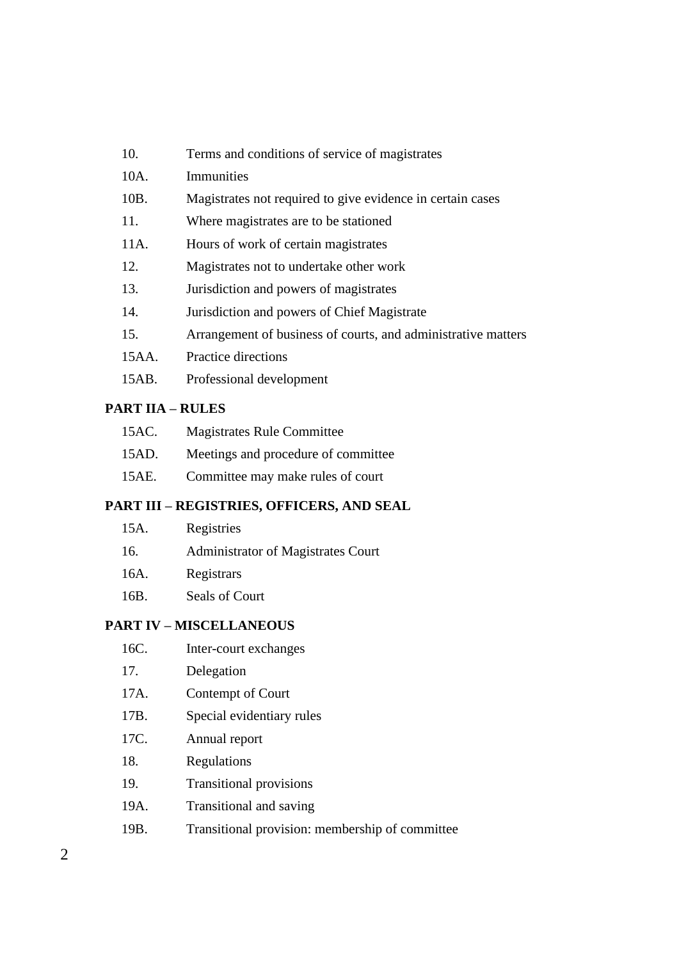| 10.   | Terms and conditions of service of magistrates                |
|-------|---------------------------------------------------------------|
| 10A.  | Immunities                                                    |
| 10B.  | Magistrates not required to give evidence in certain cases    |
| 11.   | Where magistrates are to be stationed                         |
| 11A.  | Hours of work of certain magistrates                          |
| 12.   | Magistrates not to undertake other work                       |
| 13.   | Jurisdiction and powers of magistrates                        |
| 14.   | Jurisdiction and powers of Chief Magistrate                   |
| 15.   | Arrangement of business of courts, and administrative matters |
| 15AA. | <b>Practice directions</b>                                    |
| 15AB. | Professional development                                      |

#### **PART IIA – RULES**

| 15AC. | <b>Magistrates Rule Committee</b>   |
|-------|-------------------------------------|
| 15AD. | Meetings and procedure of committee |
| 15AE. | Committee may make rules of court   |

#### **PART III – REGISTRIES, OFFICERS, AND SEAL**

| 15A. | Registries                         |
|------|------------------------------------|
| 16.  | Administrator of Magistrates Court |
| 16A. | Registrars                         |
| 16B. | Seals of Court                     |

#### **PART IV – MISCELLANEOUS**

- 16C. Inter-court exchanges
- 17. Delegation
- 17A. Contempt of Court
- 17B. Special evidentiary rules
- 17C. Annual report
- 18. Regulations
- 19. Transitional provisions
- 19A. Transitional and saving
- 19B. Transitional provision: membership of committee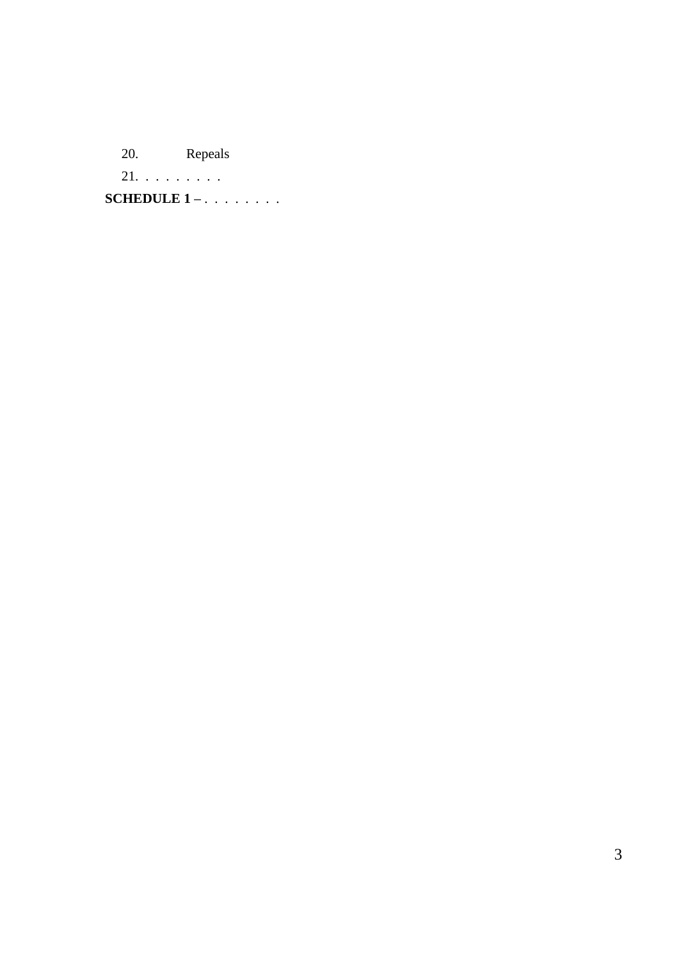20. Repeals

21. . . . . . . . .

**SCHEDULE 1 –** . . . . . . . .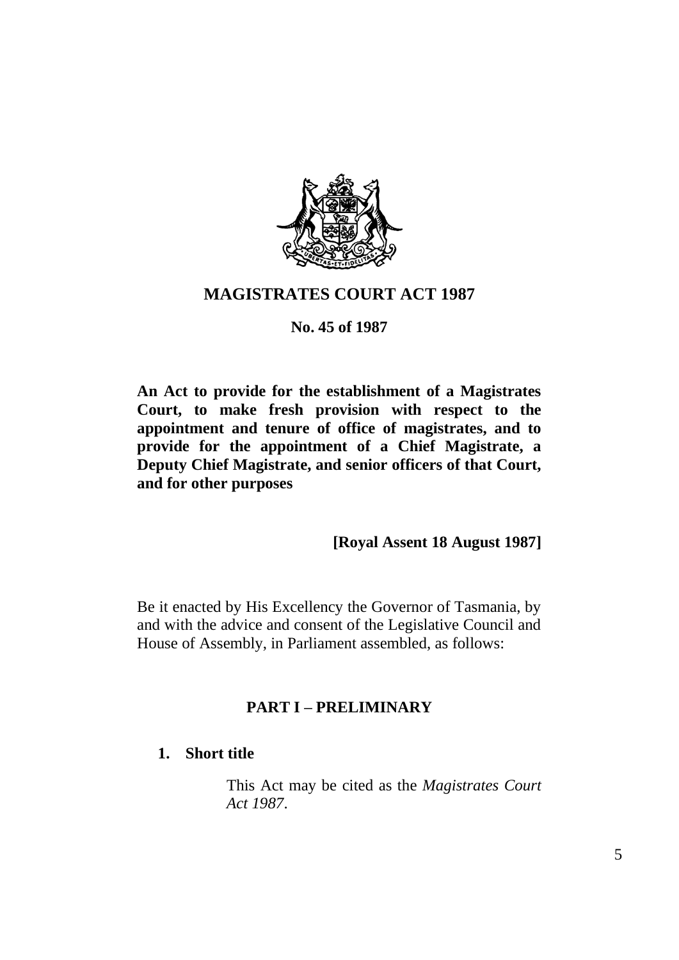

## **MAGISTRATES COURT ACT 1987**

## **No. 45 of 1987**

**An Act to provide for the establishment of a Magistrates Court, to make fresh provision with respect to the appointment and tenure of office of magistrates, and to provide for the appointment of a Chief Magistrate, a Deputy Chief Magistrate, and senior officers of that Court, and for other purposes**

## **[Royal Assent 18 August 1987]**

Be it enacted by His Excellency the Governor of Tasmania, by and with the advice and consent of the Legislative Council and House of Assembly, in Parliament assembled, as follows:

## **PART I – PRELIMINARY**

## **1. Short title**

This Act may be cited as the *Magistrates Court Act 1987*.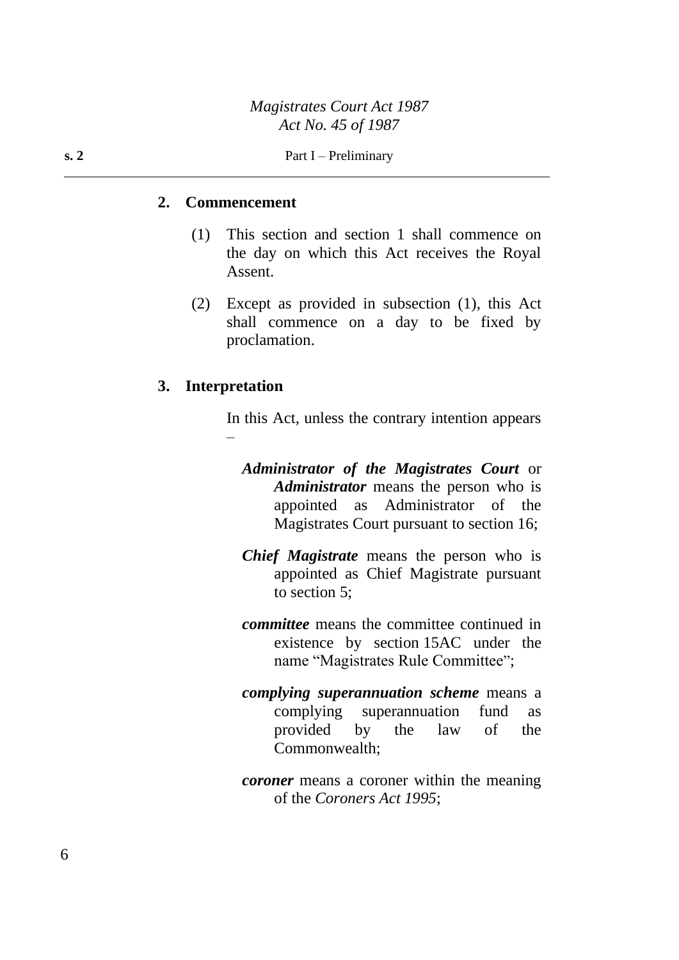#### **2. Commencement**

- (1) This section and section 1 shall commence on the day on which this Act receives the Royal Assent.
- (2) Except as provided in subsection (1), this Act shall commence on a day to be fixed by proclamation.

#### **3. Interpretation**

In this Act, unless the contrary intention appears –

- *Administrator of the Magistrates Court* or *Administrator* means the person who is appointed as Administrator of the Magistrates Court pursuant to section 16;
- *Chief Magistrate* means the person who is appointed as Chief Magistrate pursuant to section 5;
- *committee* means the committee continued in existence by section 15AC under the name "Magistrates Rule Committee";
- *complying superannuation scheme* means a complying superannuation fund as provided by the law of the Commonwealth;
- *coroner* means a coroner within the meaning of the *Coroners Act 1995*;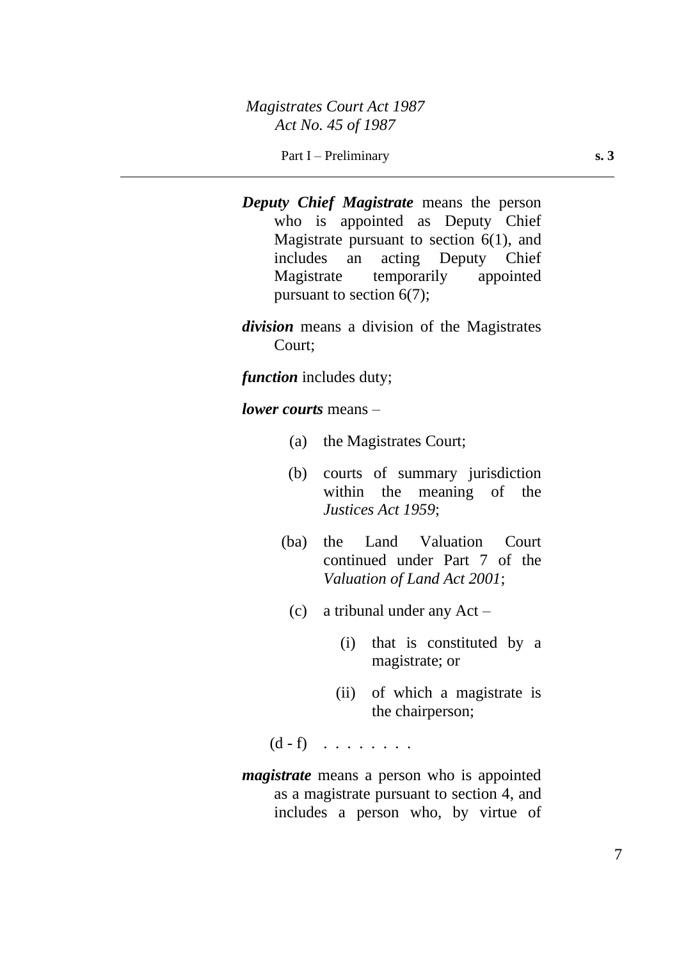- *Deputy Chief Magistrate* means the person who is appointed as Deputy Chief Magistrate pursuant to section  $6(1)$ , and includes an acting Deputy Chief Magistrate temporarily appointed pursuant to section 6(7);
- *division* means a division of the Magistrates Court;

*function* includes duty;

*lower courts* means –

- (a) the Magistrates Court;
- (b) courts of summary jurisdiction within the meaning of the *Justices Act 1959*;
- (ba) the Land Valuation Court continued under Part 7 of the *Valuation of Land Act 2001*;
	- (c) a tribunal under any Act
		- (i) that is constituted by a magistrate; or
		- (ii) of which a magistrate is the chairperson;

 $(d - f)$  . . . . . . . .

*magistrate* means a person who is appointed as a magistrate pursuant to section 4, and includes a person who, by virtue of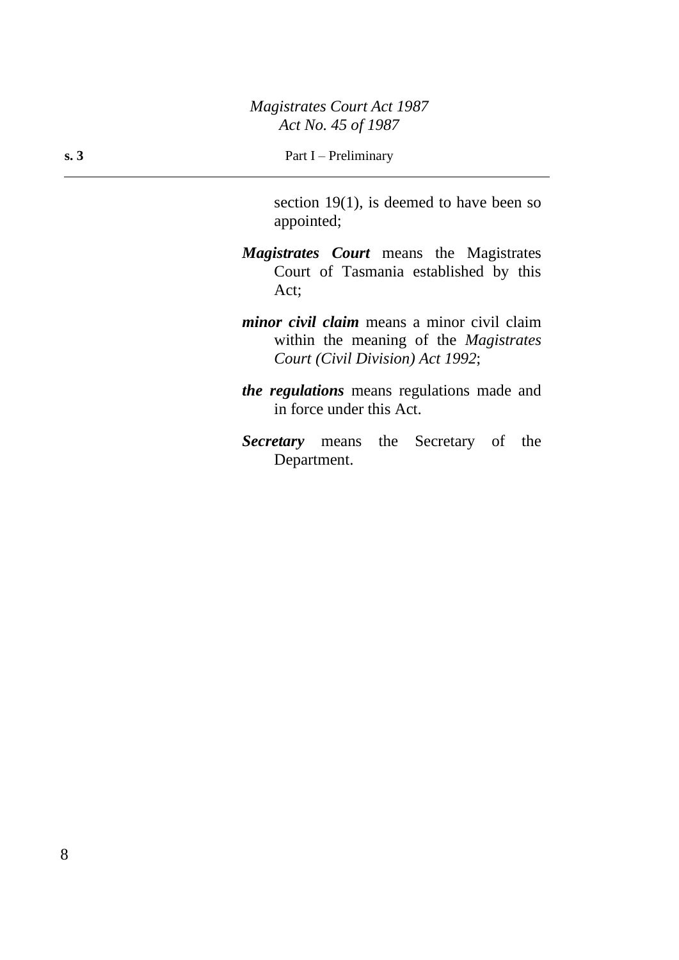section 19(1), is deemed to have been so appointed;

- *Magistrates Court* means the Magistrates Court of Tasmania established by this Act;
- *minor civil claim* means a minor civil claim within the meaning of the *Magistrates Court (Civil Division) Act 1992*;
- *the regulations* means regulations made and in force under this Act.
- *Secretary* means the Secretary of the Department.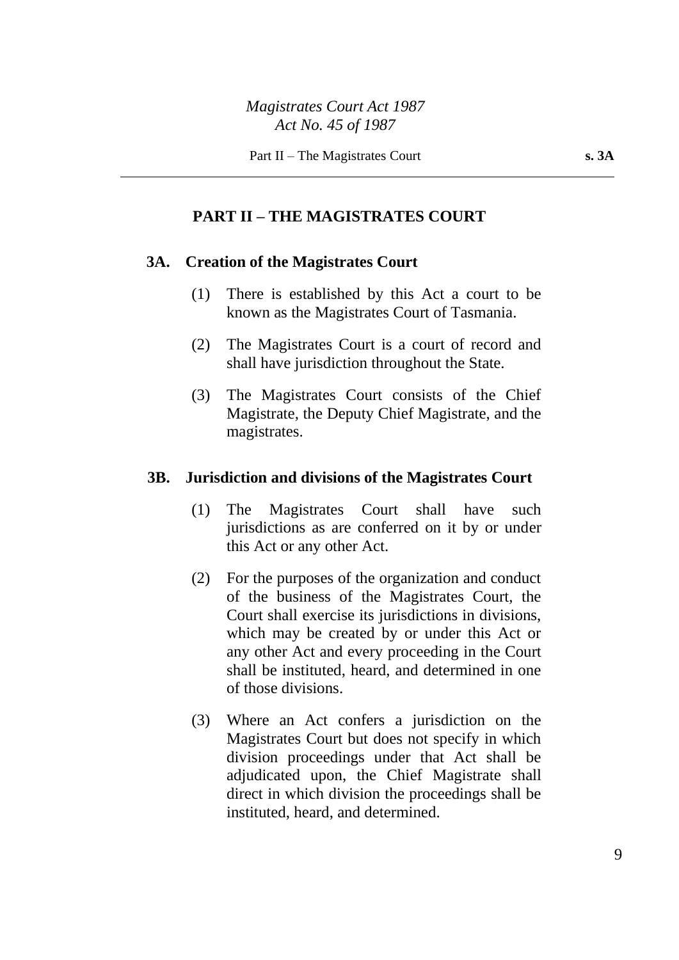#### **PART II – THE MAGISTRATES COURT**

#### **3A. Creation of the Magistrates Court**

- (1) There is established by this Act a court to be known as the Magistrates Court of Tasmania.
- (2) The Magistrates Court is a court of record and shall have jurisdiction throughout the State.
- (3) The Magistrates Court consists of the Chief Magistrate, the Deputy Chief Magistrate, and the magistrates.

#### **3B. Jurisdiction and divisions of the Magistrates Court**

- (1) The Magistrates Court shall have such jurisdictions as are conferred on it by or under this Act or any other Act.
- (2) For the purposes of the organization and conduct of the business of the Magistrates Court, the Court shall exercise its jurisdictions in divisions, which may be created by or under this Act or any other Act and every proceeding in the Court shall be instituted, heard, and determined in one of those divisions.
- (3) Where an Act confers a jurisdiction on the Magistrates Court but does not specify in which division proceedings under that Act shall be adjudicated upon, the Chief Magistrate shall direct in which division the proceedings shall be instituted, heard, and determined.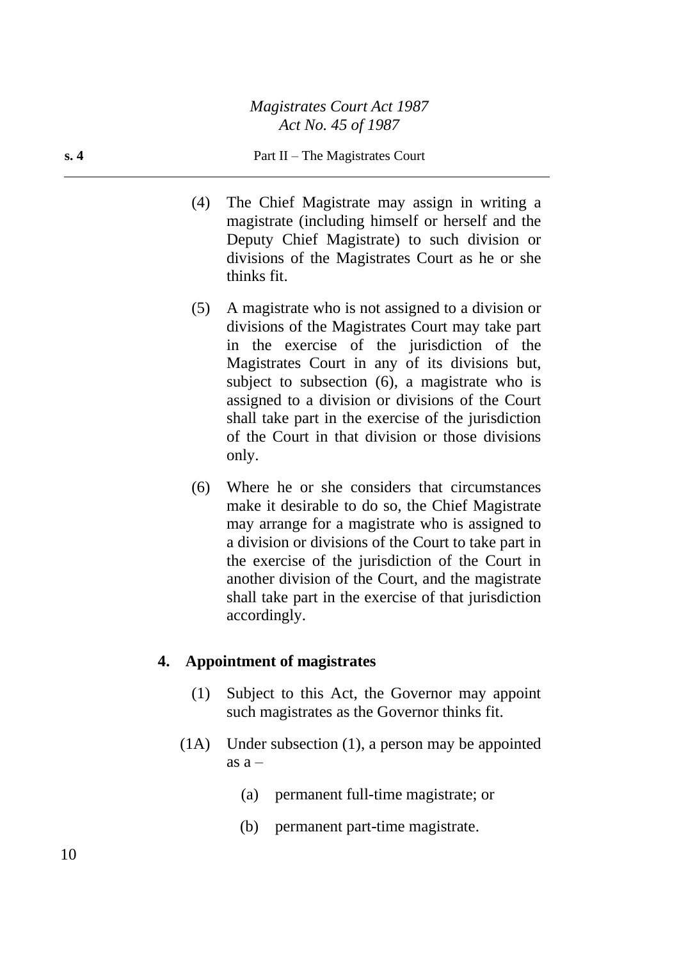#### **s. 4** Part II – The Magistrates Court

- (4) The Chief Magistrate may assign in writing a magistrate (including himself or herself and the Deputy Chief Magistrate) to such division or divisions of the Magistrates Court as he or she thinks fit.
- (5) A magistrate who is not assigned to a division or divisions of the Magistrates Court may take part in the exercise of the jurisdiction of the Magistrates Court in any of its divisions but, subject to subsection (6), a magistrate who is assigned to a division or divisions of the Court shall take part in the exercise of the jurisdiction of the Court in that division or those divisions only.
- (6) Where he or she considers that circumstances make it desirable to do so, the Chief Magistrate may arrange for a magistrate who is assigned to a division or divisions of the Court to take part in the exercise of the jurisdiction of the Court in another division of the Court, and the magistrate shall take part in the exercise of that jurisdiction accordingly.

#### **4. Appointment of magistrates**

- (1) Subject to this Act, the Governor may appoint such magistrates as the Governor thinks fit.
- (1A) Under subsection (1), a person may be appointed as  $a -$ 
	- (a) permanent full-time magistrate; or
	- (b) permanent part-time magistrate.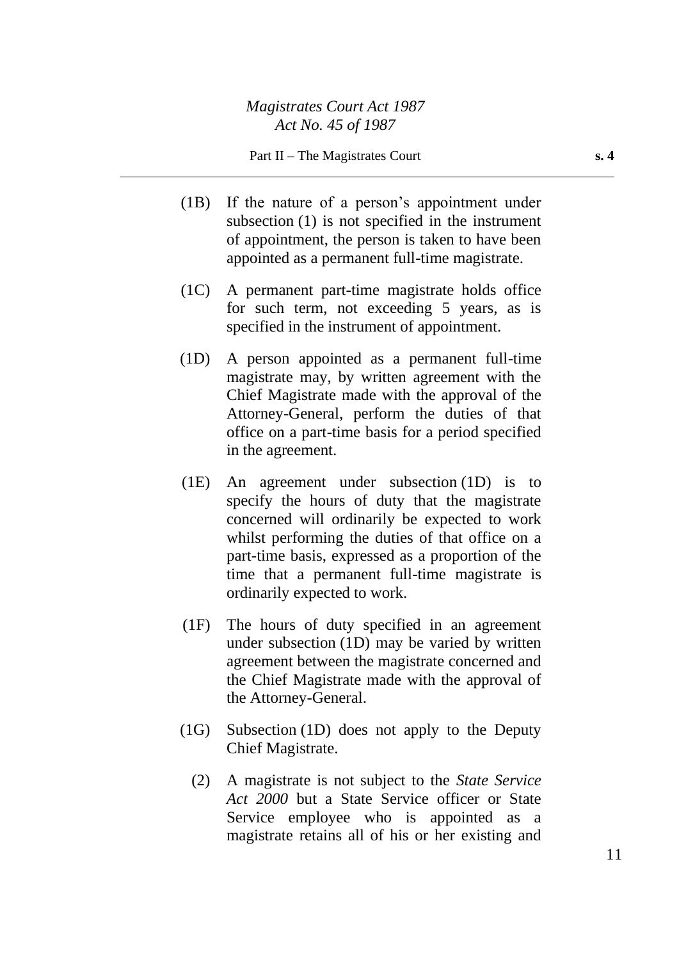- (1B) If the nature of a person's appointment under subsection (1) is not specified in the instrument of appointment, the person is taken to have been appointed as a permanent full-time magistrate.
- (1C) A permanent part-time magistrate holds office for such term, not exceeding 5 years, as is specified in the instrument of appointment.
- (1D) A person appointed as a permanent full-time magistrate may, by written agreement with the Chief Magistrate made with the approval of the Attorney-General, perform the duties of that office on a part-time basis for a period specified in the agreement.
- (1E) An agreement under subsection (1D) is to specify the hours of duty that the magistrate concerned will ordinarily be expected to work whilst performing the duties of that office on a part-time basis, expressed as a proportion of the time that a permanent full-time magistrate is ordinarily expected to work.
- (1F) The hours of duty specified in an agreement under subsection (1D) may be varied by written agreement between the magistrate concerned and the Chief Magistrate made with the approval of the Attorney-General.
- (1G) Subsection (1D) does not apply to the Deputy Chief Magistrate.
	- (2) A magistrate is not subject to the *State Service Act 2000* but a State Service officer or State Service employee who is appointed as a magistrate retains all of his or her existing and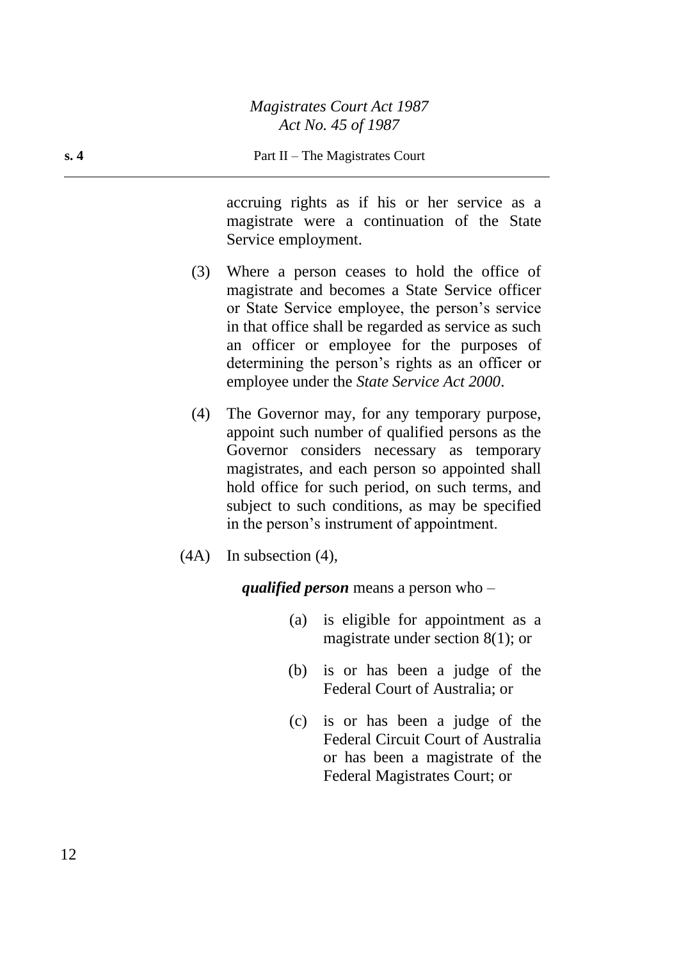accruing rights as if his or her service as a magistrate were a continuation of the State Service employment.

- (3) Where a person ceases to hold the office of magistrate and becomes a State Service officer or State Service employee, the person's service in that office shall be regarded as service as such an officer or employee for the purposes of determining the person's rights as an officer or employee under the *State Service Act 2000*.
- (4) The Governor may, for any temporary purpose, appoint such number of qualified persons as the Governor considers necessary as temporary magistrates, and each person so appointed shall hold office for such period, on such terms, and subject to such conditions, as may be specified in the person's instrument of appointment.
- (4A) In subsection (4),

*qualified person* means a person who –

- (a) is eligible for appointment as a magistrate under section 8(1); or
- (b) is or has been a judge of the Federal Court of Australia; or
- (c) is or has been a judge of the Federal Circuit Court of Australia or has been a magistrate of the Federal Magistrates Court; or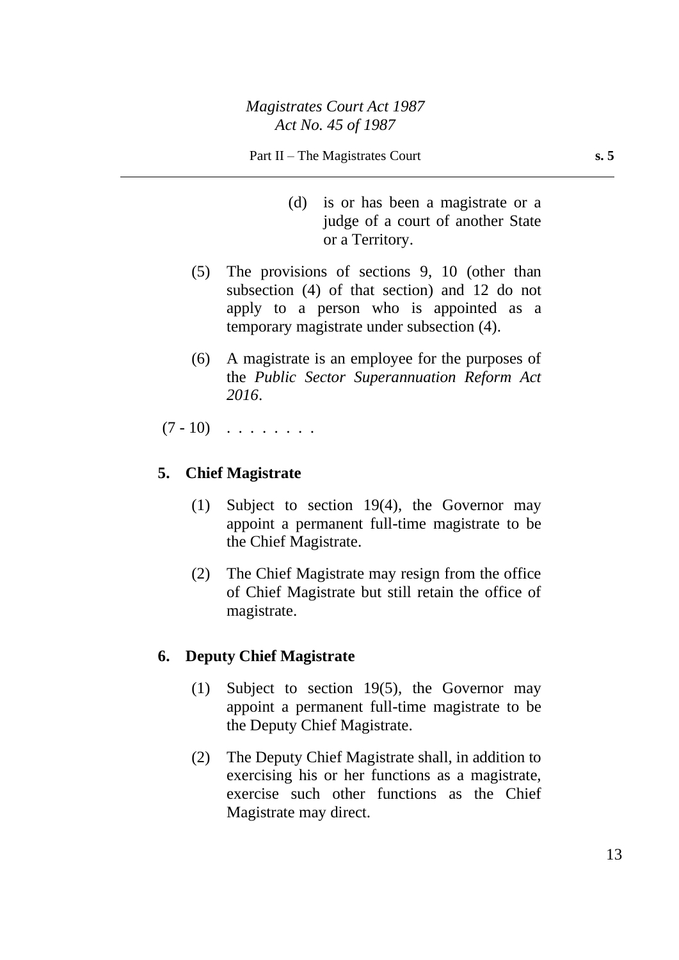- (d) is or has been a magistrate or a judge of a court of another State or a Territory.
- (5) The provisions of sections 9, 10 (other than subsection (4) of that section) and 12 do not apply to a person who is appointed as a temporary magistrate under subsection (4).
- (6) A magistrate is an employee for the purposes of the *Public Sector Superannuation Reform Act 2016*.
- $(7 10)$  . . . . . . .

## **5. Chief Magistrate**

- (1) Subject to section 19(4), the Governor may appoint a permanent full-time magistrate to be the Chief Magistrate.
- (2) The Chief Magistrate may resign from the office of Chief Magistrate but still retain the office of magistrate.

## **6. Deputy Chief Magistrate**

- (1) Subject to section 19(5), the Governor may appoint a permanent full-time magistrate to be the Deputy Chief Magistrate.
- (2) The Deputy Chief Magistrate shall, in addition to exercising his or her functions as a magistrate, exercise such other functions as the Chief Magistrate may direct.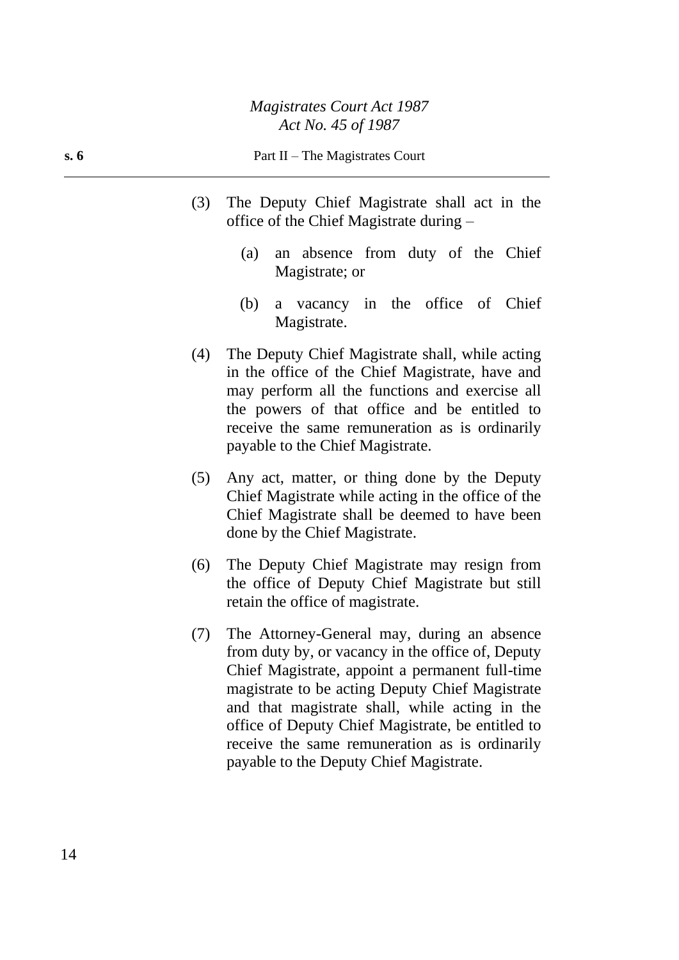#### **s. 6** Part II – The Magistrates Court

- (3) The Deputy Chief Magistrate shall act in the office of the Chief Magistrate during –
	- (a) an absence from duty of the Chief Magistrate; or
	- (b) a vacancy in the office of Chief Magistrate.
- (4) The Deputy Chief Magistrate shall, while acting in the office of the Chief Magistrate, have and may perform all the functions and exercise all the powers of that office and be entitled to receive the same remuneration as is ordinarily payable to the Chief Magistrate.
- (5) Any act, matter, or thing done by the Deputy Chief Magistrate while acting in the office of the Chief Magistrate shall be deemed to have been done by the Chief Magistrate.
- (6) The Deputy Chief Magistrate may resign from the office of Deputy Chief Magistrate but still retain the office of magistrate.
- (7) The Attorney-General may, during an absence from duty by, or vacancy in the office of, Deputy Chief Magistrate, appoint a permanent full-time magistrate to be acting Deputy Chief Magistrate and that magistrate shall, while acting in the office of Deputy Chief Magistrate, be entitled to receive the same remuneration as is ordinarily payable to the Deputy Chief Magistrate.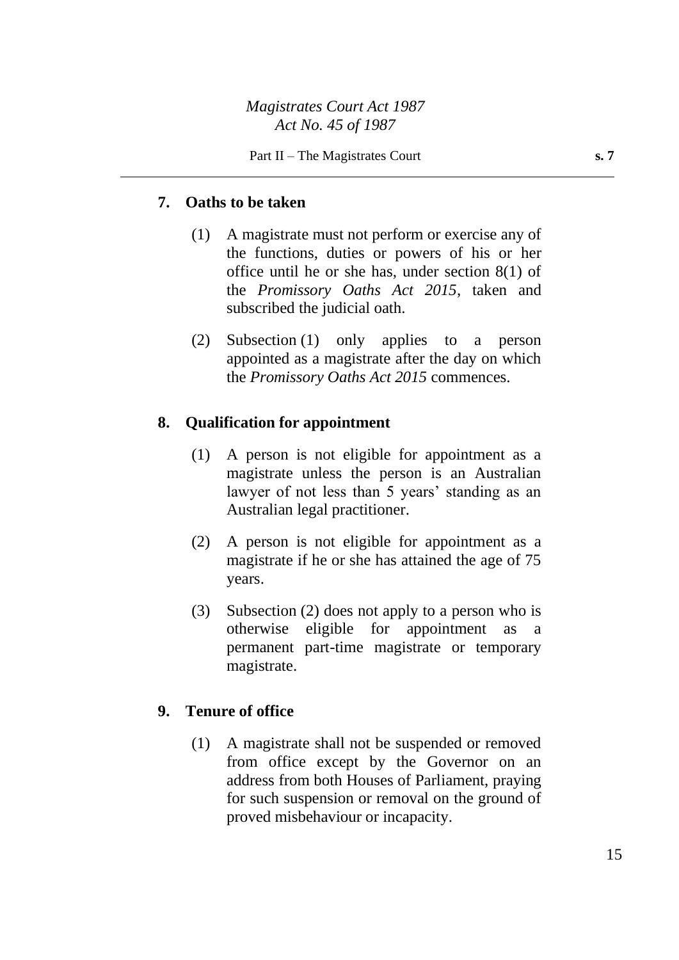## **7. Oaths to be taken**

- (1) A magistrate must not perform or exercise any of the functions, duties or powers of his or her office until he or she has, under section 8(1) of the *Promissory Oaths Act 2015*, taken and subscribed the judicial oath.
- (2) Subsection (1) only applies to a person appointed as a magistrate after the day on which the *Promissory Oaths Act 2015* commences.

## **8. Qualification for appointment**

- (1) A person is not eligible for appointment as a magistrate unless the person is an Australian lawyer of not less than 5 years' standing as an Australian legal practitioner.
- (2) A person is not eligible for appointment as a magistrate if he or she has attained the age of 75 years.
- (3) Subsection (2) does not apply to a person who is otherwise eligible for appointment as a permanent part-time magistrate or temporary magistrate.

## **9. Tenure of office**

(1) A magistrate shall not be suspended or removed from office except by the Governor on an address from both Houses of Parliament, praying for such suspension or removal on the ground of proved misbehaviour or incapacity.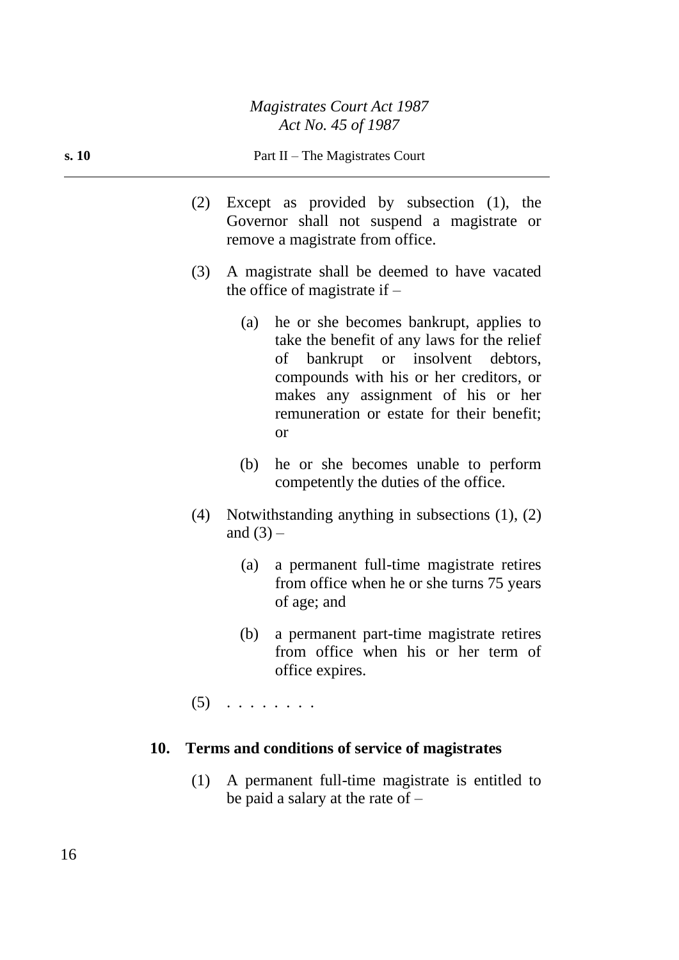#### **s. 10** Part II – The Magistrates Court

- (2) Except as provided by subsection (1), the Governor shall not suspend a magistrate or remove a magistrate from office.
- (3) A magistrate shall be deemed to have vacated the office of magistrate if  $-$ 
	- (a) he or she becomes bankrupt, applies to take the benefit of any laws for the relief of bankrupt or insolvent debtors, compounds with his or her creditors, or makes any assignment of his or her remuneration or estate for their benefit; or
	- (b) he or she becomes unable to perform competently the duties of the office.
- (4) Notwithstanding anything in subsections (1), (2) and  $(3)$  –
	- (a) a permanent full-time magistrate retires from office when he or she turns 75 years of age; and
	- (b) a permanent part-time magistrate retires from office when his or her term of office expires.
- $(5)$  . . . . . . . .

## **10. Terms and conditions of service of magistrates**

(1) A permanent full-time magistrate is entitled to be paid a salary at the rate of  $-$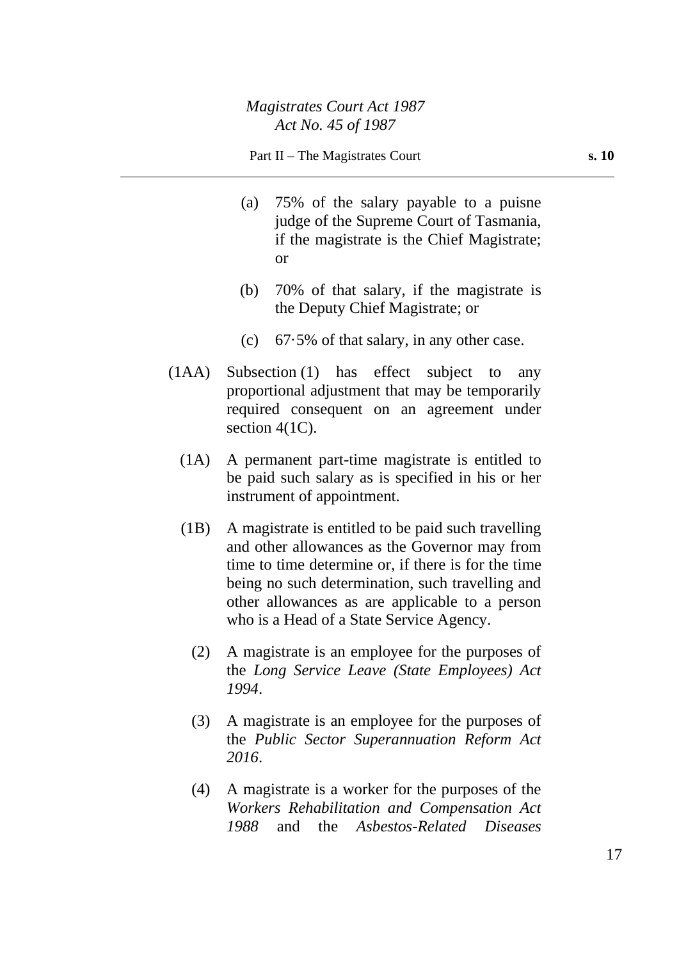- (a) 75% of the salary payable to a puisne judge of the Supreme Court of Tasmania, if the magistrate is the Chief Magistrate; or
- (b) 70% of that salary, if the magistrate is the Deputy Chief Magistrate; or
- (c) 67·5% of that salary, in any other case.
- (1AA) Subsection (1) has effect subject to any proportional adjustment that may be temporarily required consequent on an agreement under section 4(1C).
	- (1A) A permanent part-time magistrate is entitled to be paid such salary as is specified in his or her instrument of appointment.
	- (1B) A magistrate is entitled to be paid such travelling and other allowances as the Governor may from time to time determine or, if there is for the time being no such determination, such travelling and other allowances as are applicable to a person who is a Head of a State Service Agency.
		- (2) A magistrate is an employee for the purposes of the *Long Service Leave (State Employees) Act 1994*.
		- (3) A magistrate is an employee for the purposes of the *Public Sector Superannuation Reform Act 2016*.
		- (4) A magistrate is a worker for the purposes of the *Workers Rehabilitation and Compensation Act 1988* and the *Asbestos-Related Diseases*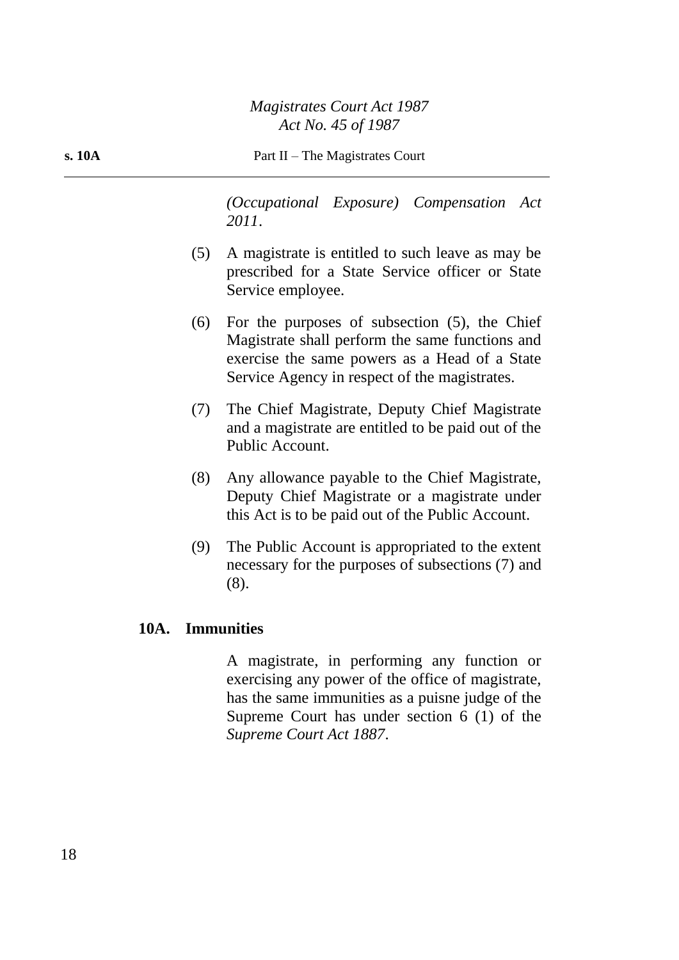#### **s. 10A** Part II – The Magistrates Court

*(Occupational Exposure) Compensation Act 2011*.

- (5) A magistrate is entitled to such leave as may be prescribed for a State Service officer or State Service employee.
- (6) For the purposes of subsection (5), the Chief Magistrate shall perform the same functions and exercise the same powers as a Head of a State Service Agency in respect of the magistrates.
- (7) The Chief Magistrate, Deputy Chief Magistrate and a magistrate are entitled to be paid out of the Public Account.
- (8) Any allowance payable to the Chief Magistrate, Deputy Chief Magistrate or a magistrate under this Act is to be paid out of the Public Account.
- (9) The Public Account is appropriated to the extent necessary for the purposes of subsections (7) and (8).

## **10A. Immunities**

A magistrate, in performing any function or exercising any power of the office of magistrate, has the same immunities as a puisne judge of the Supreme Court has under section 6 (1) of the *Supreme Court Act 1887*.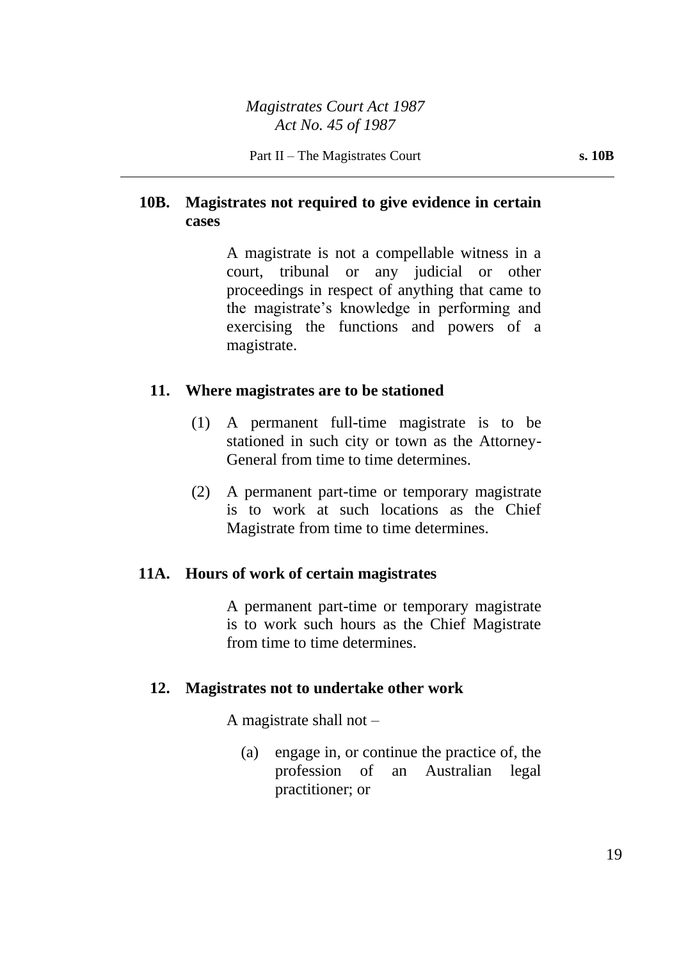## **10B. Magistrates not required to give evidence in certain cases**

A magistrate is not a compellable witness in a court, tribunal or any judicial or other proceedings in respect of anything that came to the magistrate's knowledge in performing and exercising the functions and powers of a magistrate.

## **11. Where magistrates are to be stationed**

- (1) A permanent full-time magistrate is to be stationed in such city or town as the Attorney-General from time to time determines.
- (2) A permanent part-time or temporary magistrate is to work at such locations as the Chief Magistrate from time to time determines.

## **11A. Hours of work of certain magistrates**

A permanent part-time or temporary magistrate is to work such hours as the Chief Magistrate from time to time determines.

## **12. Magistrates not to undertake other work**

A magistrate shall not –

(a) engage in, or continue the practice of, the profession of an Australian legal practitioner; or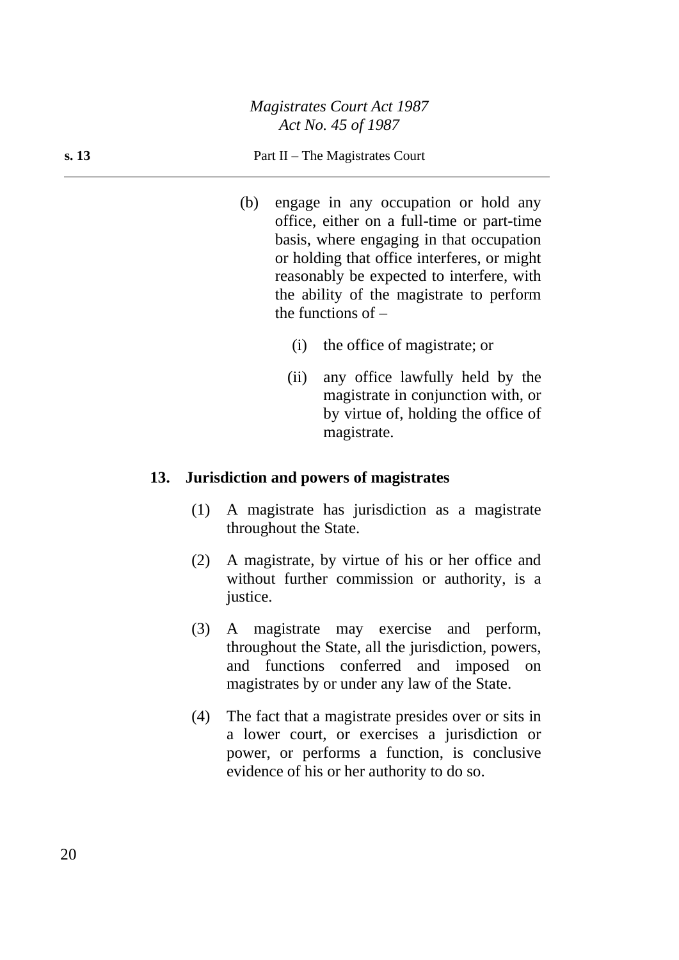#### **s. 13** Part II – The Magistrates Court

- (b) engage in any occupation or hold any office, either on a full-time or part-time basis, where engaging in that occupation or holding that office interferes, or might reasonably be expected to interfere, with the ability of the magistrate to perform the functions of  $-$ 
	- (i) the office of magistrate; or
	- (ii) any office lawfully held by the magistrate in conjunction with, or by virtue of, holding the office of magistrate.

#### **13. Jurisdiction and powers of magistrates**

- (1) A magistrate has jurisdiction as a magistrate throughout the State.
- (2) A magistrate, by virtue of his or her office and without further commission or authority, is a justice.
- (3) A magistrate may exercise and perform, throughout the State, all the jurisdiction, powers, and functions conferred and imposed on magistrates by or under any law of the State.
- (4) The fact that a magistrate presides over or sits in a lower court, or exercises a jurisdiction or power, or performs a function, is conclusive evidence of his or her authority to do so.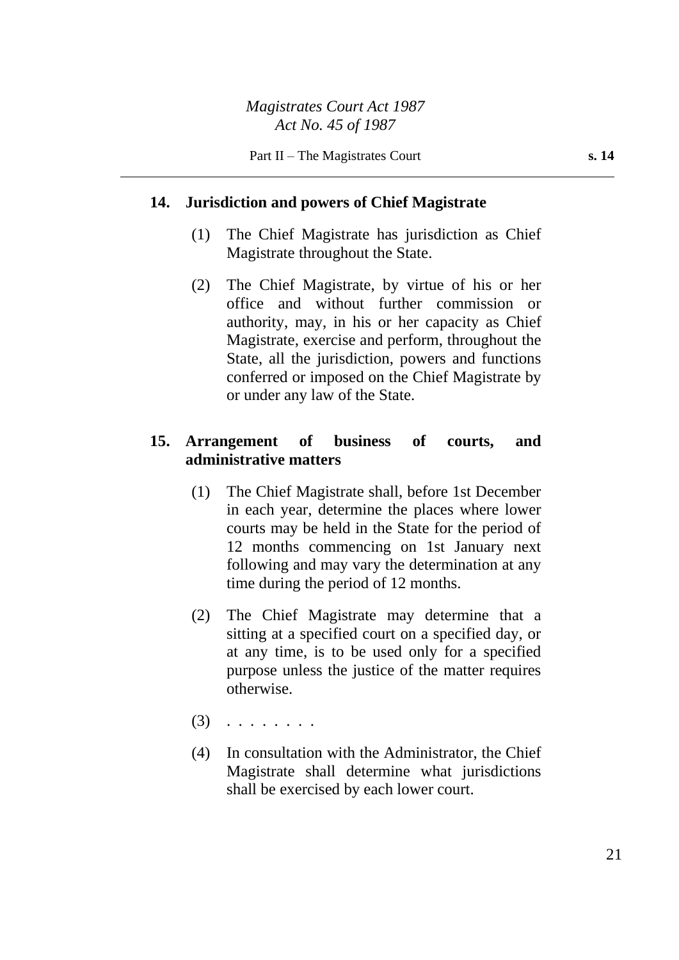#### **14. Jurisdiction and powers of Chief Magistrate**

- (1) The Chief Magistrate has jurisdiction as Chief Magistrate throughout the State.
- (2) The Chief Magistrate, by virtue of his or her office and without further commission or authority, may, in his or her capacity as Chief Magistrate, exercise and perform, throughout the State, all the jurisdiction, powers and functions conferred or imposed on the Chief Magistrate by or under any law of the State.

## **15. Arrangement of business of courts, and administrative matters**

- (1) The Chief Magistrate shall, before 1st December in each year, determine the places where lower courts may be held in the State for the period of 12 months commencing on 1st January next following and may vary the determination at any time during the period of 12 months.
- (2) The Chief Magistrate may determine that a sitting at a specified court on a specified day, or at any time, is to be used only for a specified purpose unless the justice of the matter requires otherwise.
- (3) . . . . . . . .
- (4) In consultation with the Administrator, the Chief Magistrate shall determine what jurisdictions shall be exercised by each lower court.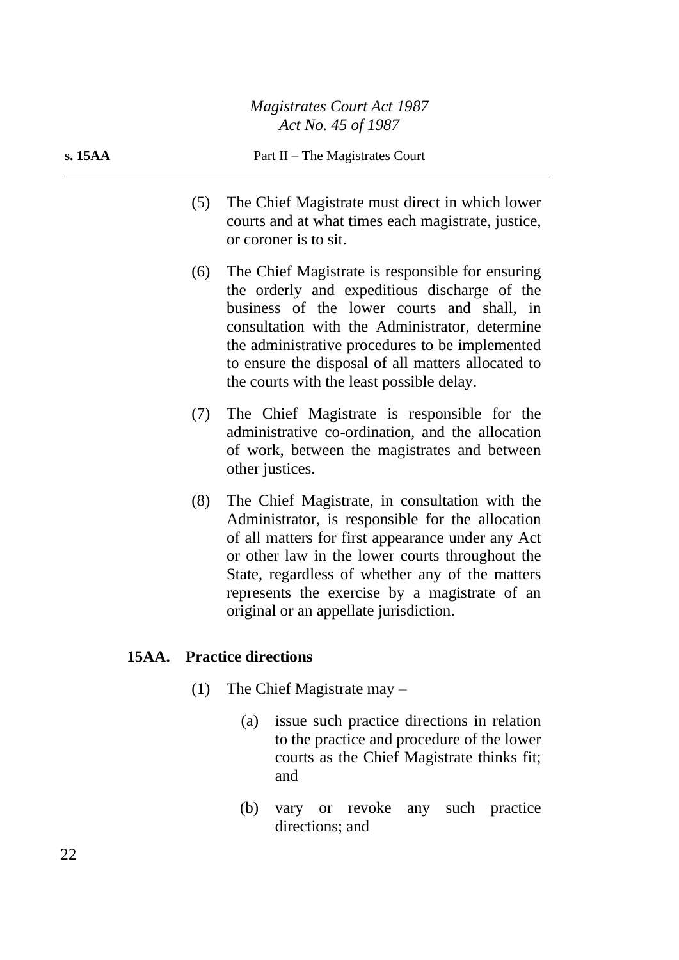#### **s. 15AA** Part II – The Magistrates Court

- (5) The Chief Magistrate must direct in which lower courts and at what times each magistrate, justice, or coroner is to sit.
- (6) The Chief Magistrate is responsible for ensuring the orderly and expeditious discharge of the business of the lower courts and shall, in consultation with the Administrator, determine the administrative procedures to be implemented to ensure the disposal of all matters allocated to the courts with the least possible delay.
- (7) The Chief Magistrate is responsible for the administrative co-ordination, and the allocation of work, between the magistrates and between other justices.
- (8) The Chief Magistrate, in consultation with the Administrator, is responsible for the allocation of all matters for first appearance under any Act or other law in the lower courts throughout the State, regardless of whether any of the matters represents the exercise by a magistrate of an original or an appellate jurisdiction.

#### **15AA. Practice directions**

- (1) The Chief Magistrate may
	- (a) issue such practice directions in relation to the practice and procedure of the lower courts as the Chief Magistrate thinks fit; and
	- (b) vary or revoke any such practice directions; and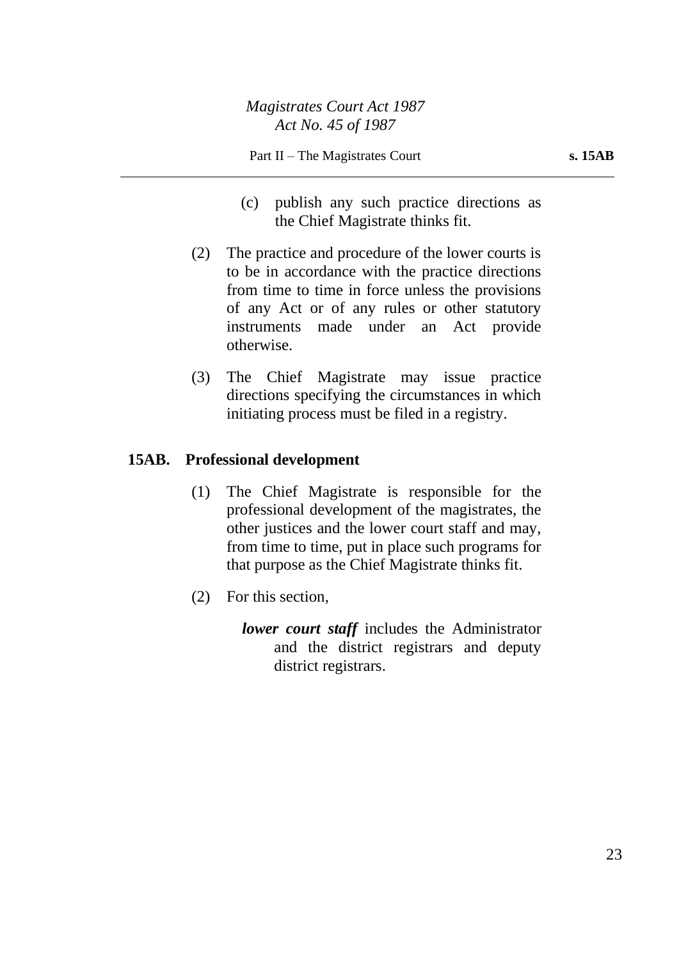- (c) publish any such practice directions as the Chief Magistrate thinks fit.
- (2) The practice and procedure of the lower courts is to be in accordance with the practice directions from time to time in force unless the provisions of any Act or of any rules or other statutory instruments made under an Act provide otherwise.
- (3) The Chief Magistrate may issue practice directions specifying the circumstances in which initiating process must be filed in a registry.

## **15AB. Professional development**

- (1) The Chief Magistrate is responsible for the professional development of the magistrates, the other justices and the lower court staff and may, from time to time, put in place such programs for that purpose as the Chief Magistrate thinks fit.
- (2) For this section,
	- *lower court staff* includes the Administrator and the district registrars and deputy district registrars.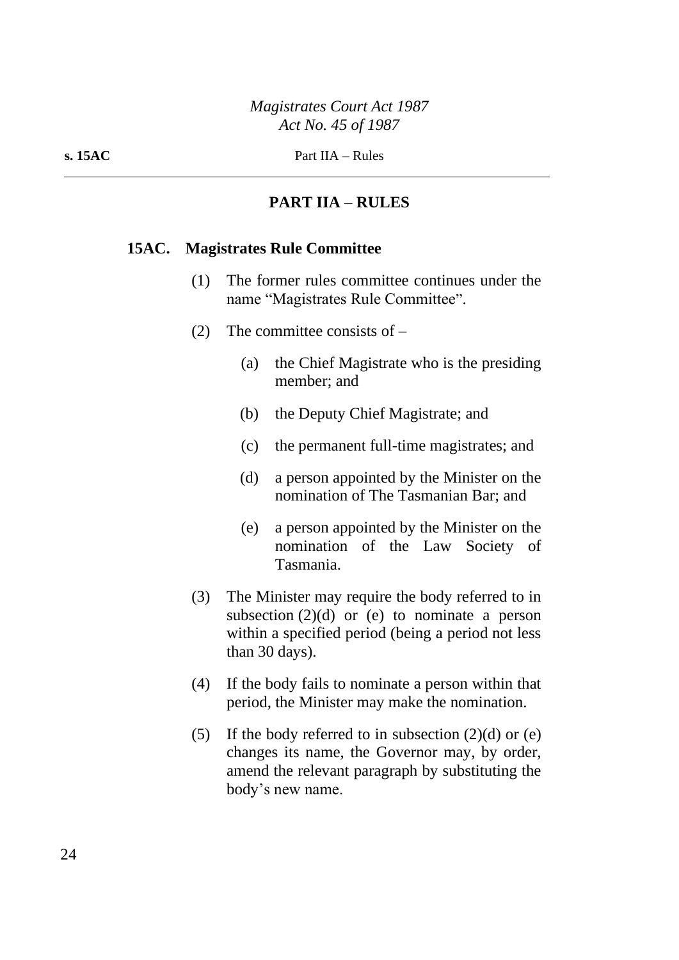## **PART IIA – RULES**

#### **15AC. Magistrates Rule Committee**

- (1) The former rules committee continues under the name "Magistrates Rule Committee".
- (2) The committee consists of
	- (a) the Chief Magistrate who is the presiding member; and
	- (b) the Deputy Chief Magistrate; and
	- (c) the permanent full-time magistrates; and
	- (d) a person appointed by the Minister on the nomination of The Tasmanian Bar; and
	- (e) a person appointed by the Minister on the nomination of the Law Society of Tasmania.
- (3) The Minister may require the body referred to in subsection  $(2)(d)$  or (e) to nominate a person within a specified period (being a period not less than 30 days).
- (4) If the body fails to nominate a person within that period, the Minister may make the nomination.
- (5) If the body referred to in subsection  $(2)(d)$  or (e) changes its name, the Governor may, by order, amend the relevant paragraph by substituting the body's new name.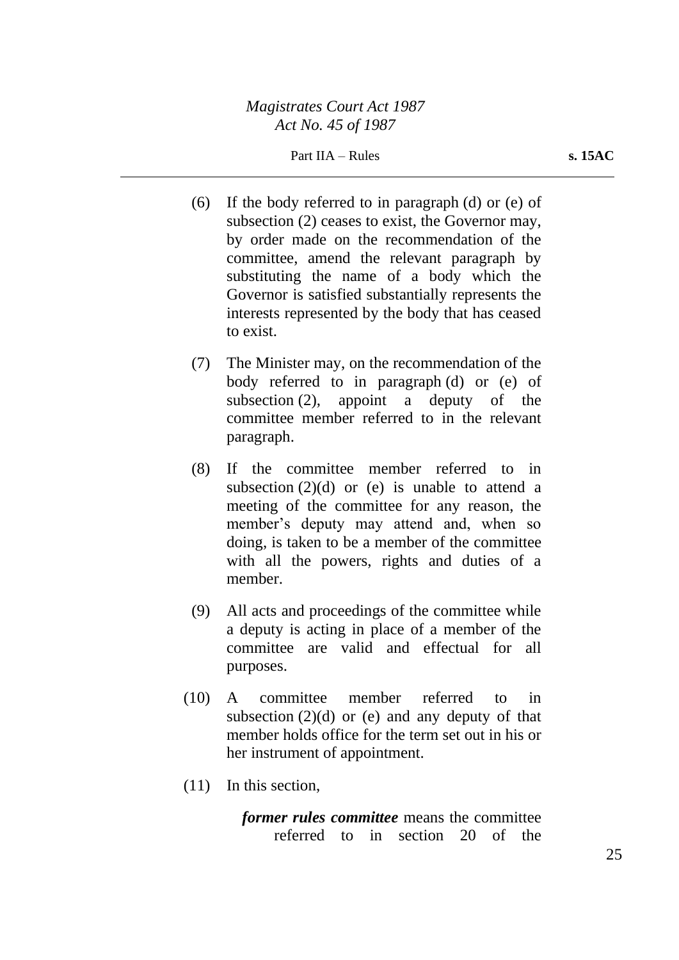Part IIA – Rules **s. 15AC** 

- (6) If the body referred to in paragraph (d) or (e) of subsection (2) ceases to exist, the Governor may, by order made on the recommendation of the committee, amend the relevant paragraph by substituting the name of a body which the Governor is satisfied substantially represents the interests represented by the body that has ceased to exist.
- (7) The Minister may, on the recommendation of the body referred to in paragraph (d) or (e) of subsection (2), appoint a deputy of the committee member referred to in the relevant paragraph.
- (8) If the committee member referred to in subsection  $(2)(d)$  or (e) is unable to attend a meeting of the committee for any reason, the member's deputy may attend and, when so doing, is taken to be a member of the committee with all the powers, rights and duties of a member.
- (9) All acts and proceedings of the committee while a deputy is acting in place of a member of the committee are valid and effectual for all purposes.
- (10) A committee member referred to in subsection  $(2)(d)$  or (e) and any deputy of that member holds office for the term set out in his or her instrument of appointment.
- (11) In this section,

*former rules committee* means the committee referred to in section 20 of the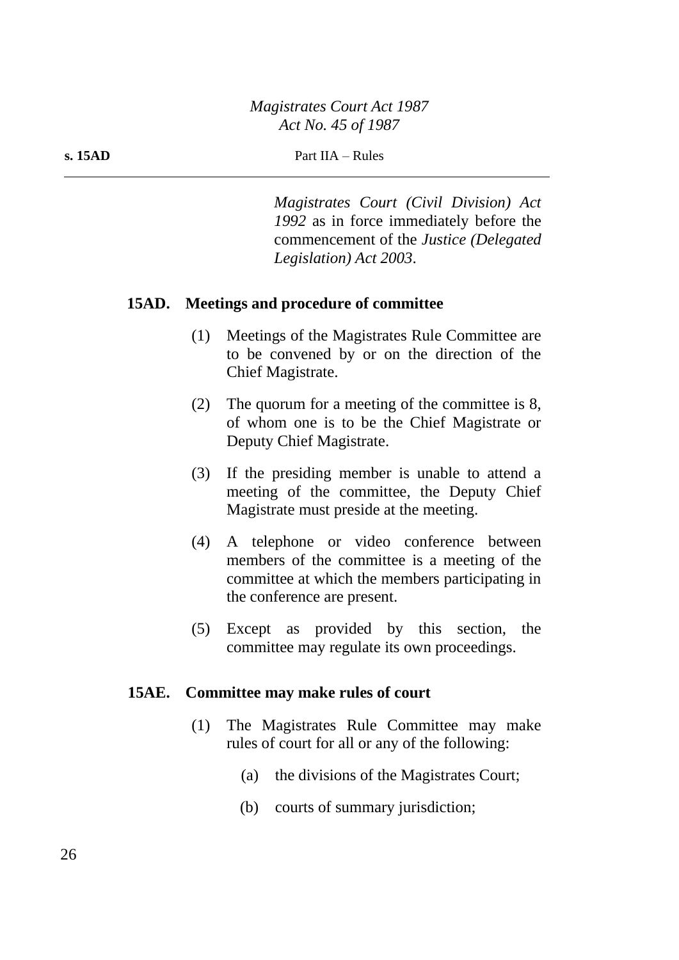*Magistrates Court (Civil Division) Act 1992* as in force immediately before the commencement of the *Justice (Delegated Legislation) Act 2003*.

## **15AD. Meetings and procedure of committee**

- (1) Meetings of the Magistrates Rule Committee are to be convened by or on the direction of the Chief Magistrate.
- (2) The quorum for a meeting of the committee is 8, of whom one is to be the Chief Magistrate or Deputy Chief Magistrate.
- (3) If the presiding member is unable to attend a meeting of the committee, the Deputy Chief Magistrate must preside at the meeting.
- (4) A telephone or video conference between members of the committee is a meeting of the committee at which the members participating in the conference are present.
- (5) Except as provided by this section, the committee may regulate its own proceedings.

## **15AE. Committee may make rules of court**

- (1) The Magistrates Rule Committee may make rules of court for all or any of the following:
	- (a) the divisions of the Magistrates Court;
	- (b) courts of summary jurisdiction;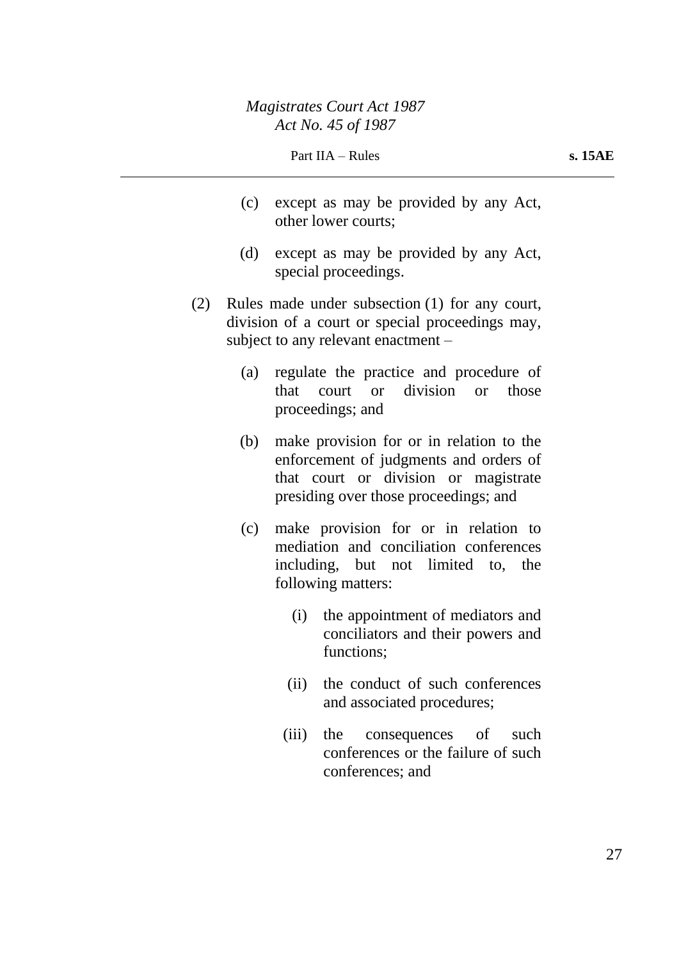- (c) except as may be provided by any Act, other lower courts;
- (d) except as may be provided by any Act, special proceedings.
- (2) Rules made under subsection (1) for any court, division of a court or special proceedings may, subject to any relevant enactment –
	- (a) regulate the practice and procedure of that court or division or those proceedings; and
	- (b) make provision for or in relation to the enforcement of judgments and orders of that court or division or magistrate presiding over those proceedings; and
	- (c) make provision for or in relation to mediation and conciliation conferences including, but not limited to, the following matters:
		- (i) the appointment of mediators and conciliators and their powers and functions;
		- (ii) the conduct of such conferences and associated procedures;
		- (iii) the consequences of such conferences or the failure of such conferences; and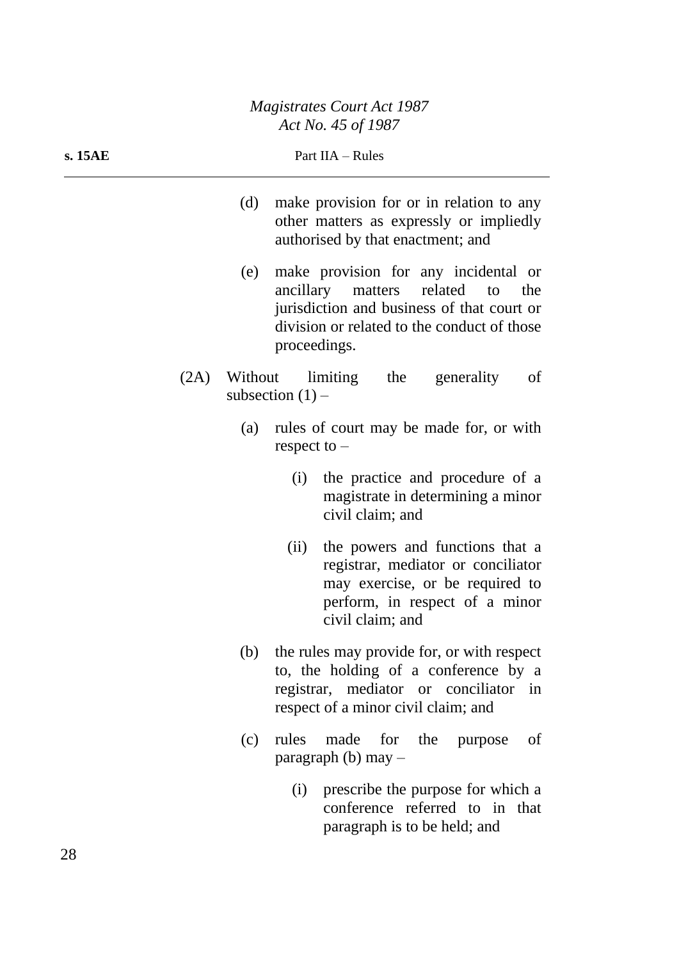| s. 15AE | Part IIA - Rules |                    |                                                                                                                                                                          |  |
|---------|------------------|--------------------|--------------------------------------------------------------------------------------------------------------------------------------------------------------------------|--|
|         | (d)              |                    | make provision for or in relation to any<br>other matters as expressly or impliedly<br>authorised by that enactment; and                                                 |  |
|         | (e)              | proceedings.       | make provision for any incidental or<br>ancillary matters related to<br>the<br>jurisdiction and business of that court or<br>division or related to the conduct of those |  |
| (2A)    | Without          | subsection $(1)$ – | limiting the<br>generality<br>of                                                                                                                                         |  |
|         | (a)              | respect to $-$     | rules of court may be made for, or with                                                                                                                                  |  |
|         |                  | (i)                | the practice and procedure of a<br>magistrate in determining a minor<br>civil claim; and                                                                                 |  |
|         |                  | (ii)               | the powers and functions that a<br>registrar, mediator or conciliator<br>may exercise, or be required to<br>perform, in respect of a minor<br>civil claim; and           |  |
|         | (b)              |                    | the rules may provide for, or with respect<br>to, the holding of a conference by a<br>registrar, mediator or conciliator in<br>respect of a minor civil claim; and       |  |
|         | (c)              | rules              | made for the purpose<br>of<br>paragraph (b) may $-$                                                                                                                      |  |
|         |                  | (i)                | prescribe the purpose for which a<br>conference referred to in that<br>paragraph is to be held; and                                                                      |  |

 $\overline{\phantom{0}}$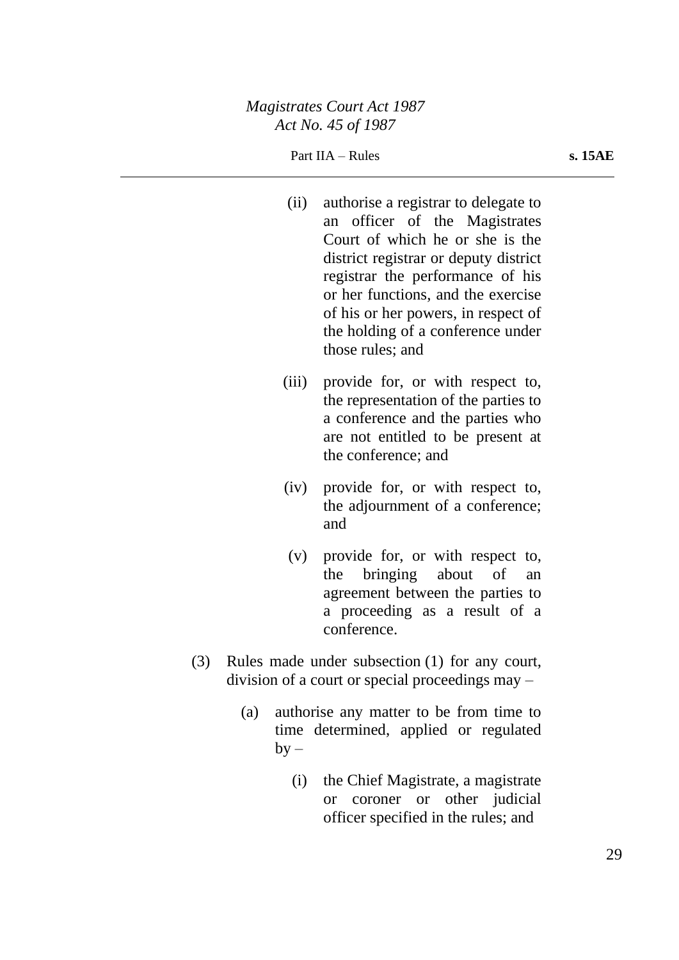- (ii) authorise a registrar to delegate to an officer of the Magistrates Court of which he or she is the district registrar or deputy district registrar the performance of his or her functions, and the exercise of his or her powers, in respect of the holding of a conference under those rules; and
- (iii) provide for, or with respect to, the representation of the parties to a conference and the parties who are not entitled to be present at the conference; and
- (iv) provide for, or with respect to, the adjournment of a conference; and
- (v) provide for, or with respect to, the bringing about of an agreement between the parties to a proceeding as a result of a conference.
- (3) Rules made under subsection (1) for any court, division of a court or special proceedings may –
	- (a) authorise any matter to be from time to time determined, applied or regulated  $by -$ 
		- (i) the Chief Magistrate, a magistrate or coroner or other judicial officer specified in the rules; and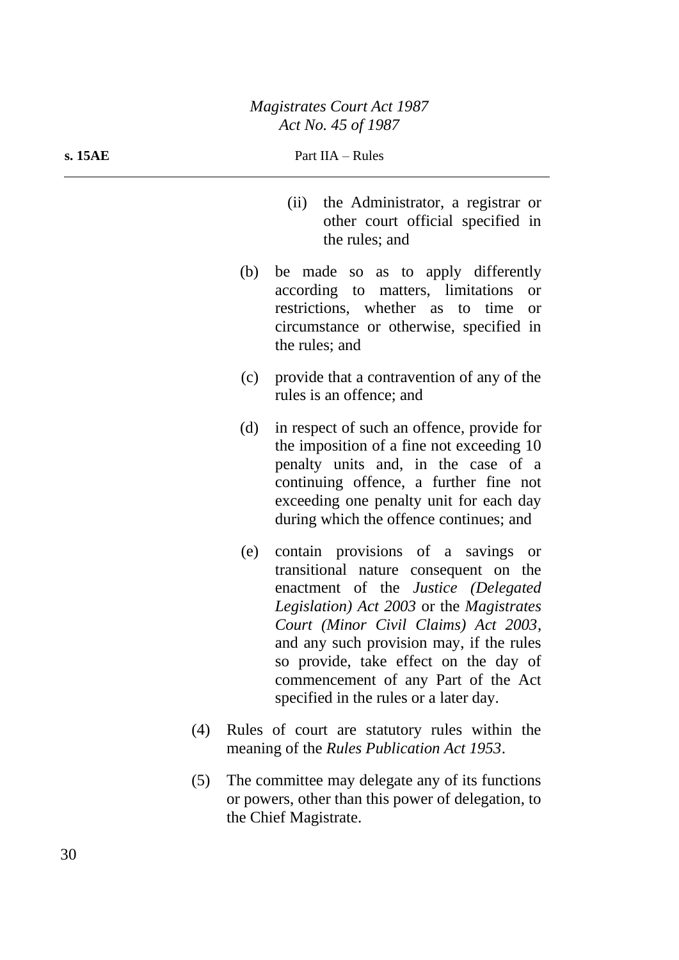| s. 15AE | Part IIA - Rules |                                                                                                                                                                                                                                                                                                                                                                                               |  |
|---------|------------------|-----------------------------------------------------------------------------------------------------------------------------------------------------------------------------------------------------------------------------------------------------------------------------------------------------------------------------------------------------------------------------------------------|--|
|         |                  | the Administrator, a registrar or<br>(ii)<br>other court official specified in<br>the rules; and                                                                                                                                                                                                                                                                                              |  |
|         | (b)              | be made so as to apply differently<br>according to matters, limitations<br><b>or</b><br>restrictions, whether as to time<br><b>or</b><br>circumstance or otherwise, specified in<br>the rules; and                                                                                                                                                                                            |  |
|         | (c)              | provide that a contravention of any of the<br>rules is an offence; and                                                                                                                                                                                                                                                                                                                        |  |
|         | (d)              | in respect of such an offence, provide for<br>the imposition of a fine not exceeding 10<br>penalty units and, in the case of a<br>continuing offence, a further fine not<br>exceeding one penalty unit for each day<br>during which the offence continues; and                                                                                                                                |  |
|         | (e)              | contain provisions of a savings<br><b>or</b><br>transitional nature consequent on the<br>enactment of the <i>Justice (Delegated</i><br>Legislation) Act 2003 or the Magistrates<br>Court (Minor Civil Claims) Act 2003,<br>and any such provision may, if the rules<br>so provide, take effect on the day of<br>commencement of any Part of the Act<br>specified in the rules or a later day. |  |
| (4)     |                  | Rules of court are statutory rules within the<br>meaning of the <i>Rules Publication Act 1953</i> .                                                                                                                                                                                                                                                                                           |  |
|         |                  |                                                                                                                                                                                                                                                                                                                                                                                               |  |

(5) The committee may delegate any of its functions or powers, other than this power of delegation, to the Chief Magistrate.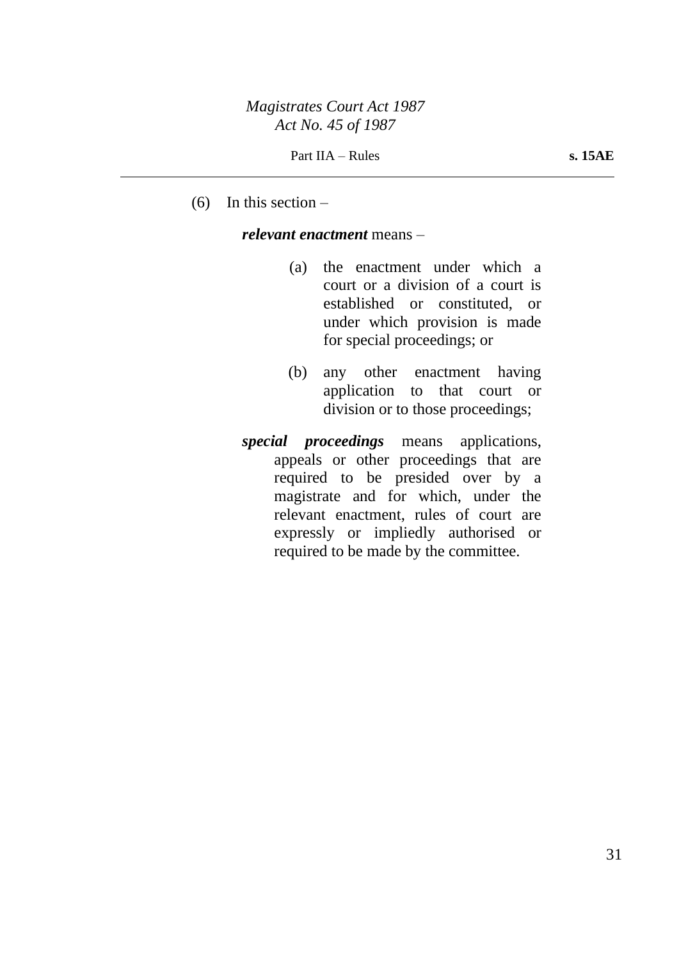$(6)$  In this section –

#### *relevant enactment* means –

- (a) the enactment under which a court or a division of a court is established or constituted, or under which provision is made for special proceedings; or
- (b) any other enactment having application to that court or division or to those proceedings;
- *special proceedings* means applications, appeals or other proceedings that are required to be presided over by a magistrate and for which, under the relevant enactment, rules of court are expressly or impliedly authorised or required to be made by the committee.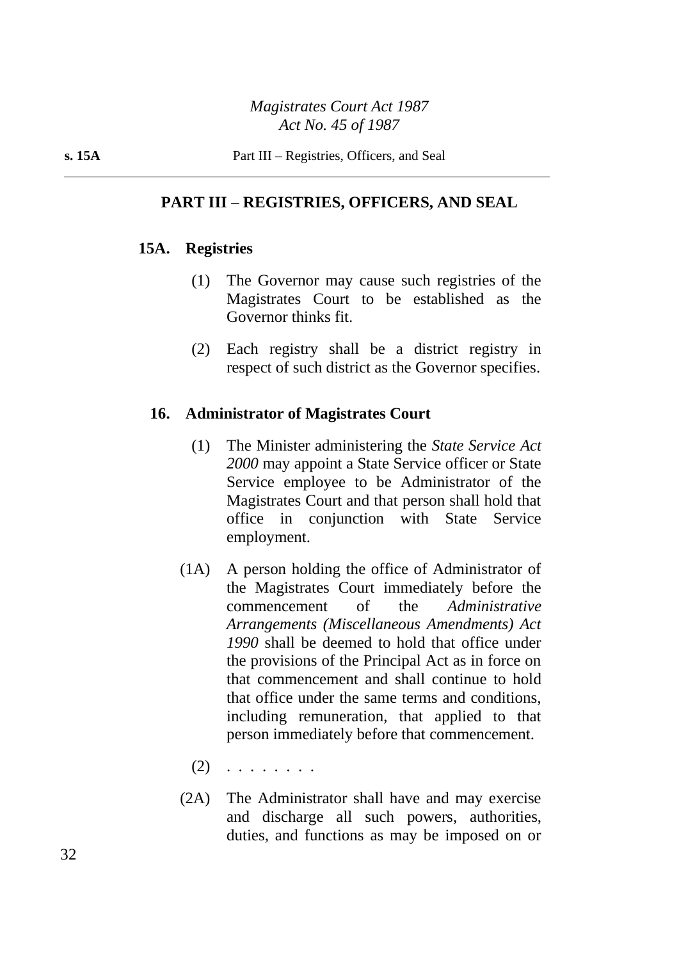## **PART III – REGISTRIES, OFFICERS, AND SEAL**

## **15A. Registries**

- (1) The Governor may cause such registries of the Magistrates Court to be established as the Governor thinks fit.
- (2) Each registry shall be a district registry in respect of such district as the Governor specifies.

## **16. Administrator of Magistrates Court**

- (1) The Minister administering the *State Service Act 2000* may appoint a State Service officer or State Service employee to be Administrator of the Magistrates Court and that person shall hold that office in conjunction with State Service employment.
- (1A) A person holding the office of Administrator of the Magistrates Court immediately before the commencement of the *Administrative Arrangements (Miscellaneous Amendments) Act 1990* shall be deemed to hold that office under the provisions of the Principal Act as in force on that commencement and shall continue to hold that office under the same terms and conditions, including remuneration, that applied to that person immediately before that commencement.
	- $(2)$  . . . . . . . .
- (2A) The Administrator shall have and may exercise and discharge all such powers, authorities, duties, and functions as may be imposed on or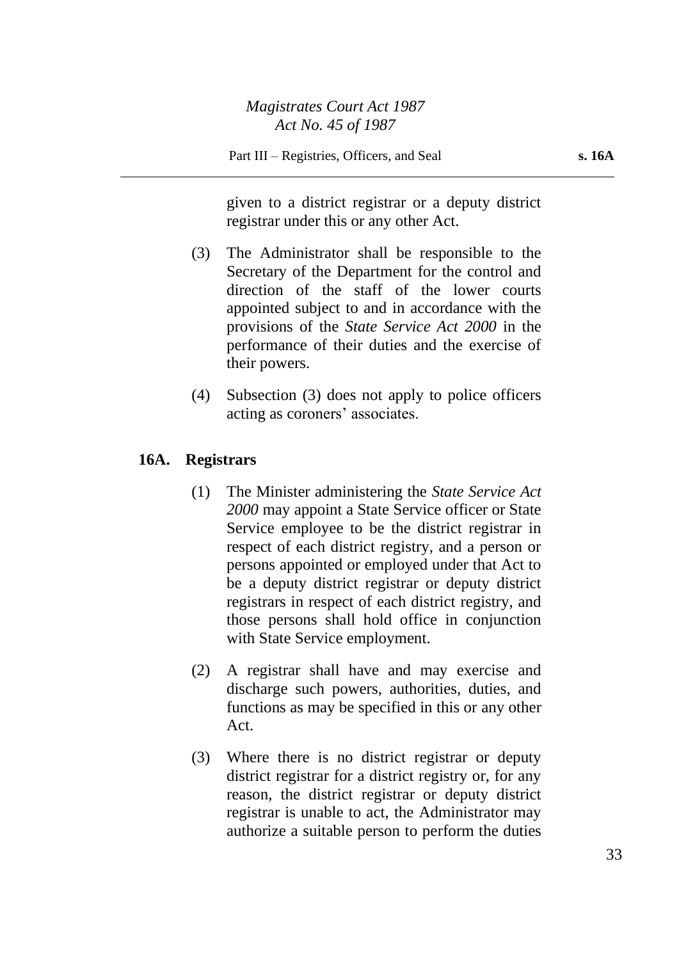given to a district registrar or a deputy district registrar under this or any other Act.

- (3) The Administrator shall be responsible to the Secretary of the Department for the control and direction of the staff of the lower courts appointed subject to and in accordance with the provisions of the *State Service Act 2000* in the performance of their duties and the exercise of their powers.
- (4) Subsection (3) does not apply to police officers acting as coroners' associates.

## **16A. Registrars**

- (1) The Minister administering the *State Service Act 2000* may appoint a State Service officer or State Service employee to be the district registrar in respect of each district registry, and a person or persons appointed or employed under that Act to be a deputy district registrar or deputy district registrars in respect of each district registry, and those persons shall hold office in conjunction with State Service employment.
- (2) A registrar shall have and may exercise and discharge such powers, authorities, duties, and functions as may be specified in this or any other Act.
- (3) Where there is no district registrar or deputy district registrar for a district registry or, for any reason, the district registrar or deputy district registrar is unable to act, the Administrator may authorize a suitable person to perform the duties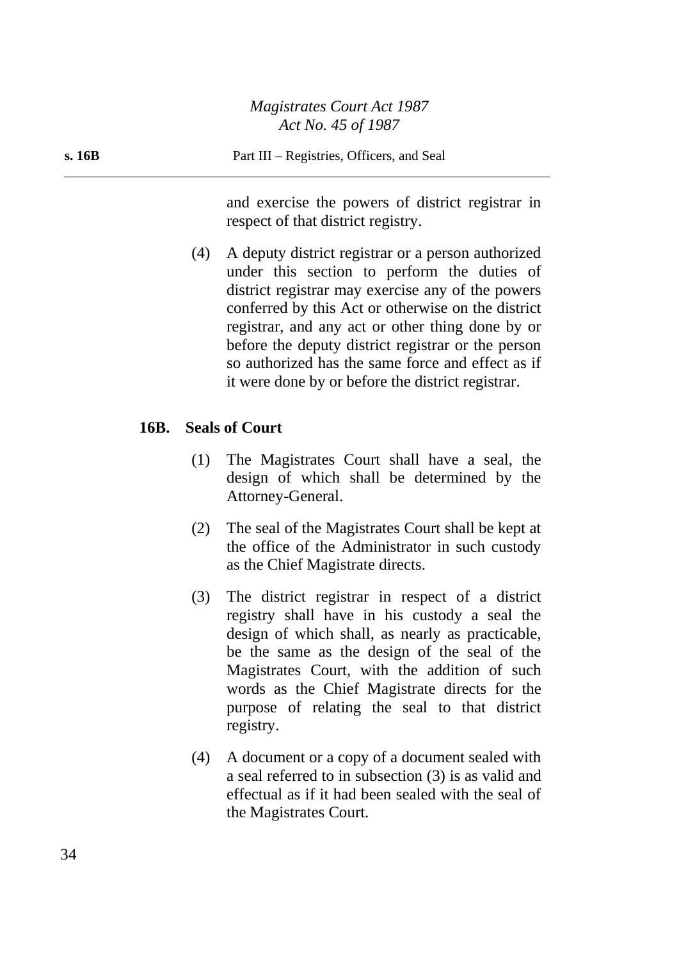and exercise the powers of district registrar in respect of that district registry.

(4) A deputy district registrar or a person authorized under this section to perform the duties of district registrar may exercise any of the powers conferred by this Act or otherwise on the district registrar, and any act or other thing done by or before the deputy district registrar or the person so authorized has the same force and effect as if it were done by or before the district registrar.

## **16B. Seals of Court**

- (1) The Magistrates Court shall have a seal, the design of which shall be determined by the Attorney-General.
- (2) The seal of the Magistrates Court shall be kept at the office of the Administrator in such custody as the Chief Magistrate directs.
- (3) The district registrar in respect of a district registry shall have in his custody a seal the design of which shall, as nearly as practicable, be the same as the design of the seal of the Magistrates Court, with the addition of such words as the Chief Magistrate directs for the purpose of relating the seal to that district registry.
- (4) A document or a copy of a document sealed with a seal referred to in subsection (3) is as valid and effectual as if it had been sealed with the seal of the Magistrates Court.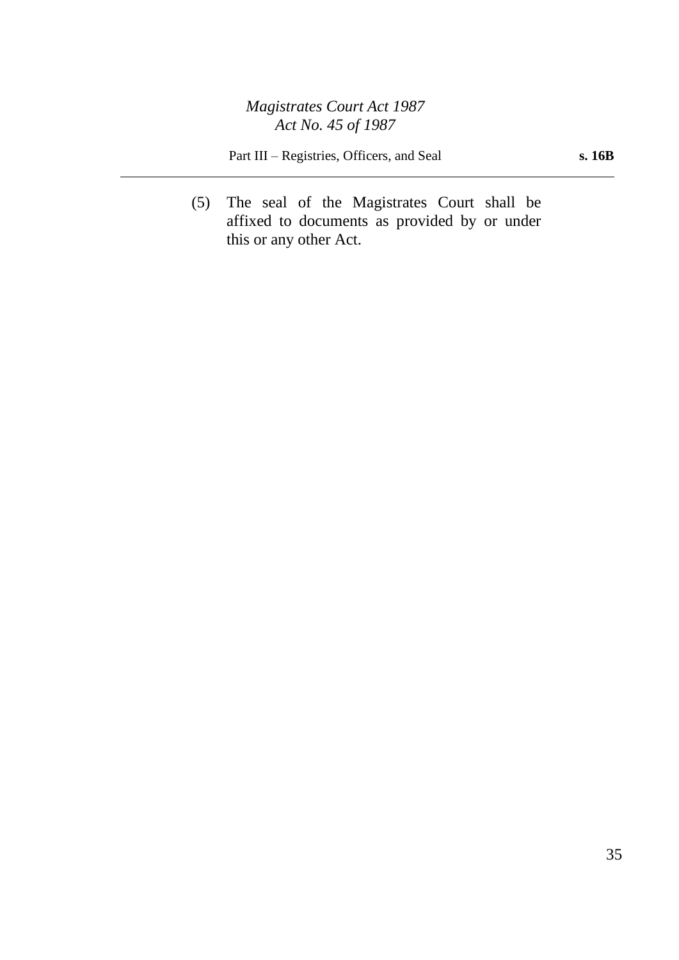Part III – Registries, Officers, and Seal **s. 16B** 

(5) The seal of the Magistrates Court shall be affixed to documents as provided by or under this or any other Act.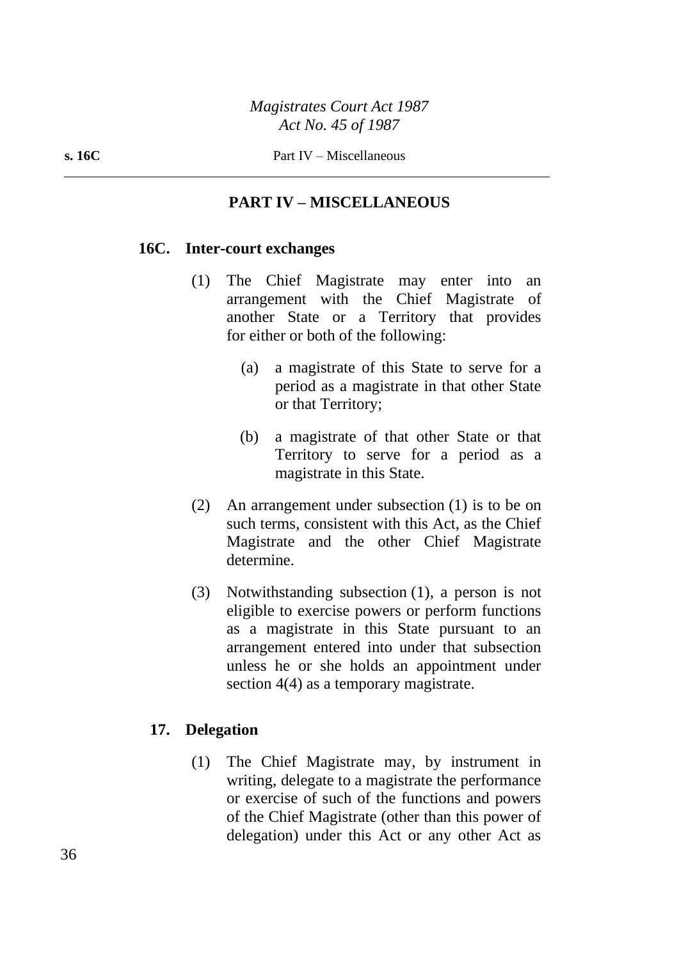## **PART IV – MISCELLANEOUS**

#### **16C. Inter-court exchanges**

- (1) The Chief Magistrate may enter into an arrangement with the Chief Magistrate of another State or a Territory that provides for either or both of the following:
	- (a) a magistrate of this State to serve for a period as a magistrate in that other State or that Territory;
	- (b) a magistrate of that other State or that Territory to serve for a period as a magistrate in this State.
- (2) An arrangement under subsection (1) is to be on such terms, consistent with this Act, as the Chief Magistrate and the other Chief Magistrate determine.
- (3) Notwithstanding subsection (1), a person is not eligible to exercise powers or perform functions as a magistrate in this State pursuant to an arrangement entered into under that subsection unless he or she holds an appointment under section 4(4) as a temporary magistrate.

## **17. Delegation**

(1) The Chief Magistrate may, by instrument in writing, delegate to a magistrate the performance or exercise of such of the functions and powers of the Chief Magistrate (other than this power of delegation) under this Act or any other Act as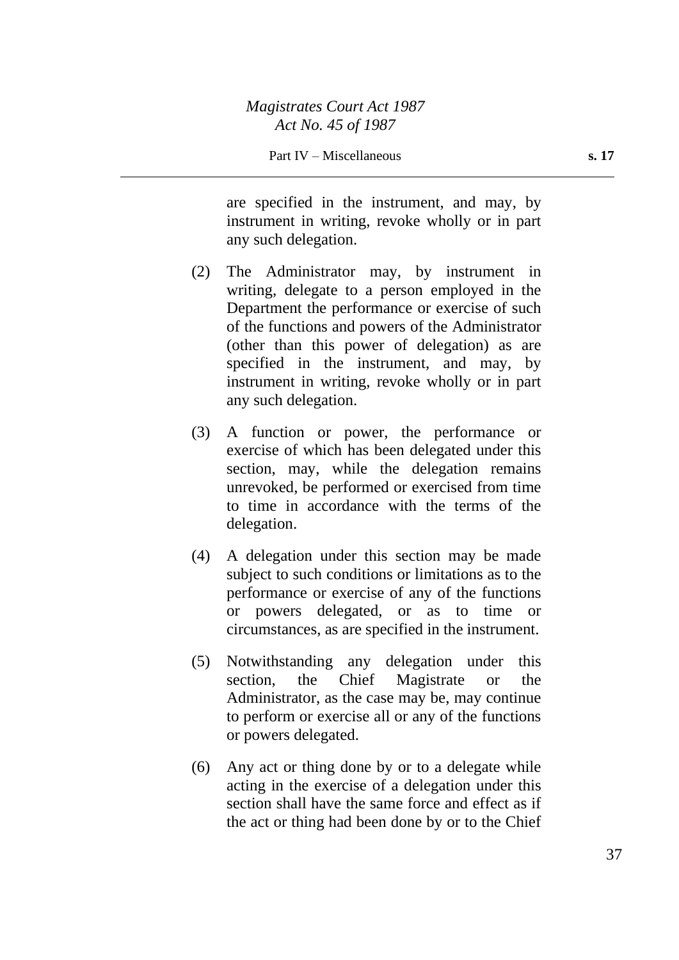are specified in the instrument, and may, by instrument in writing, revoke wholly or in part any such delegation.

- (2) The Administrator may, by instrument in writing, delegate to a person employed in the Department the performance or exercise of such of the functions and powers of the Administrator (other than this power of delegation) as are specified in the instrument, and may, by instrument in writing, revoke wholly or in part any such delegation.
- (3) A function or power, the performance or exercise of which has been delegated under this section, may, while the delegation remains unrevoked, be performed or exercised from time to time in accordance with the terms of the delegation.
- (4) A delegation under this section may be made subject to such conditions or limitations as to the performance or exercise of any of the functions or powers delegated, or as to time or circumstances, as are specified in the instrument.
- (5) Notwithstanding any delegation under this section, the Chief Magistrate or the Administrator, as the case may be, may continue to perform or exercise all or any of the functions or powers delegated.
- (6) Any act or thing done by or to a delegate while acting in the exercise of a delegation under this section shall have the same force and effect as if the act or thing had been done by or to the Chief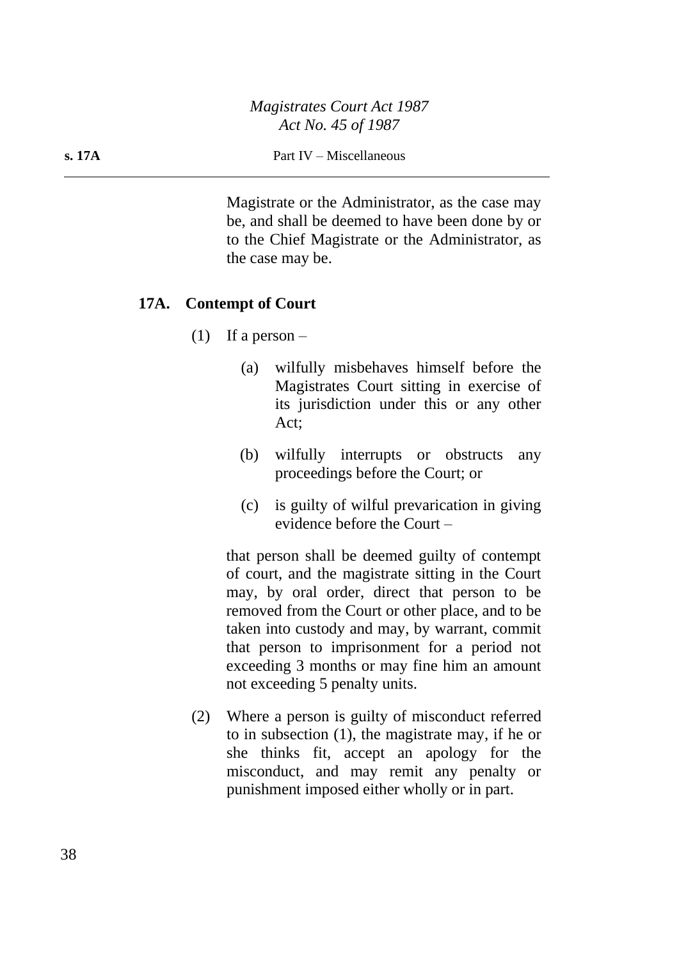#### **s. 17A** Part IV – Miscellaneous

Magistrate or the Administrator, as the case may be, and shall be deemed to have been done by or to the Chief Magistrate or the Administrator, as the case may be.

#### **17A. Contempt of Court**

- (1) If a person  $-$ 
	- (a) wilfully misbehaves himself before the Magistrates Court sitting in exercise of its jurisdiction under this or any other Act;
	- (b) wilfully interrupts or obstructs any proceedings before the Court; or
	- (c) is guilty of wilful prevarication in giving evidence before the Court –

that person shall be deemed guilty of contempt of court, and the magistrate sitting in the Court may, by oral order, direct that person to be removed from the Court or other place, and to be taken into custody and may, by warrant, commit that person to imprisonment for a period not exceeding 3 months or may fine him an amount not exceeding 5 penalty units.

(2) Where a person is guilty of misconduct referred to in subsection (1), the magistrate may, if he or she thinks fit, accept an apology for the misconduct, and may remit any penalty or punishment imposed either wholly or in part.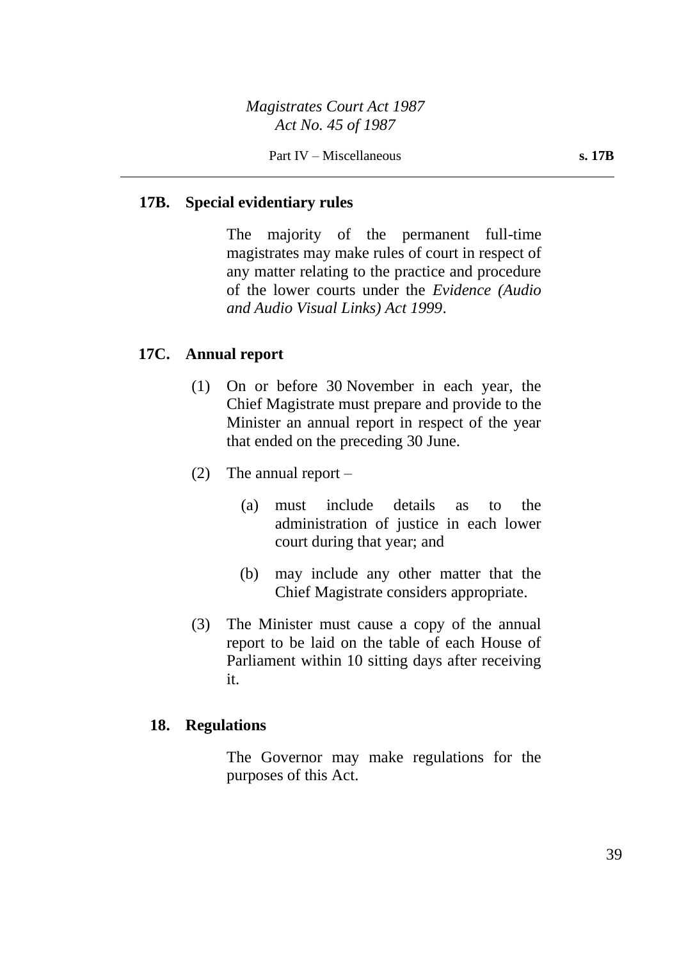## **17B. Special evidentiary rules**

The majority of the permanent full-time magistrates may make rules of court in respect of any matter relating to the practice and procedure of the lower courts under the *Evidence (Audio and Audio Visual Links) Act 1999*.

## **17C. Annual report**

- (1) On or before 30 November in each year, the Chief Magistrate must prepare and provide to the Minister an annual report in respect of the year that ended on the preceding 30 June.
- (2) The annual report
	- (a) must include details as to the administration of justice in each lower court during that year; and
	- (b) may include any other matter that the Chief Magistrate considers appropriate.
- (3) The Minister must cause a copy of the annual report to be laid on the table of each House of Parliament within 10 sitting days after receiving it.

## **18. Regulations**

The Governor may make regulations for the purposes of this Act.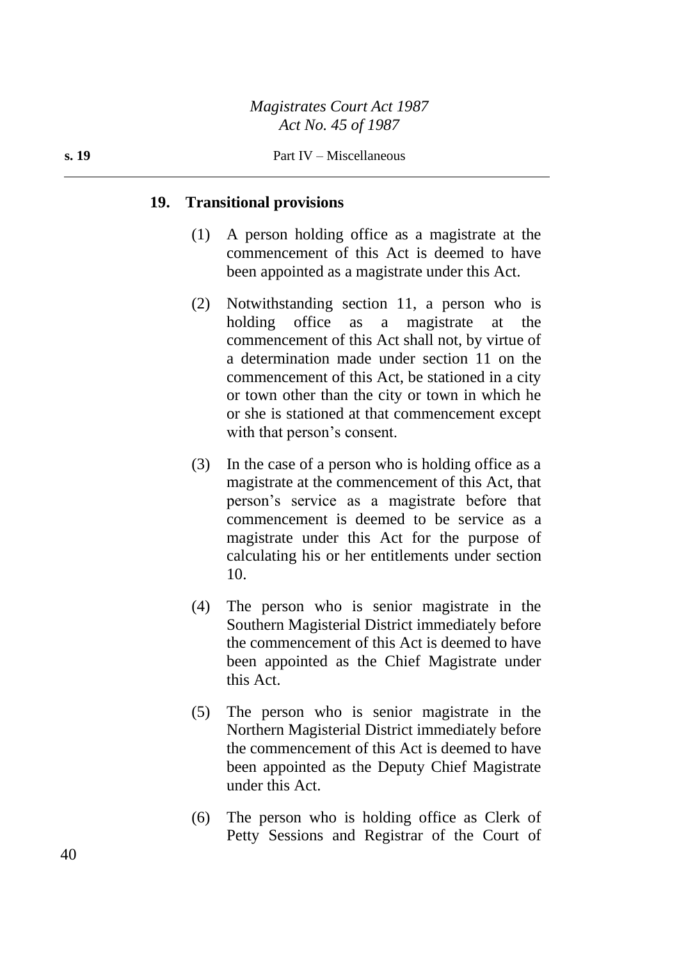#### **19. Transitional provisions**

- (1) A person holding office as a magistrate at the commencement of this Act is deemed to have been appointed as a magistrate under this Act.
- (2) Notwithstanding section 11, a person who is holding office as a magistrate at the commencement of this Act shall not, by virtue of a determination made under section 11 on the commencement of this Act, be stationed in a city or town other than the city or town in which he or she is stationed at that commencement except with that person's consent.
- (3) In the case of a person who is holding office as a magistrate at the commencement of this Act, that person's service as a magistrate before that commencement is deemed to be service as a magistrate under this Act for the purpose of calculating his or her entitlements under section 10.
- (4) The person who is senior magistrate in the Southern Magisterial District immediately before the commencement of this Act is deemed to have been appointed as the Chief Magistrate under this Act.
- (5) The person who is senior magistrate in the Northern Magisterial District immediately before the commencement of this Act is deemed to have been appointed as the Deputy Chief Magistrate under this Act.
- (6) The person who is holding office as Clerk of Petty Sessions and Registrar of the Court of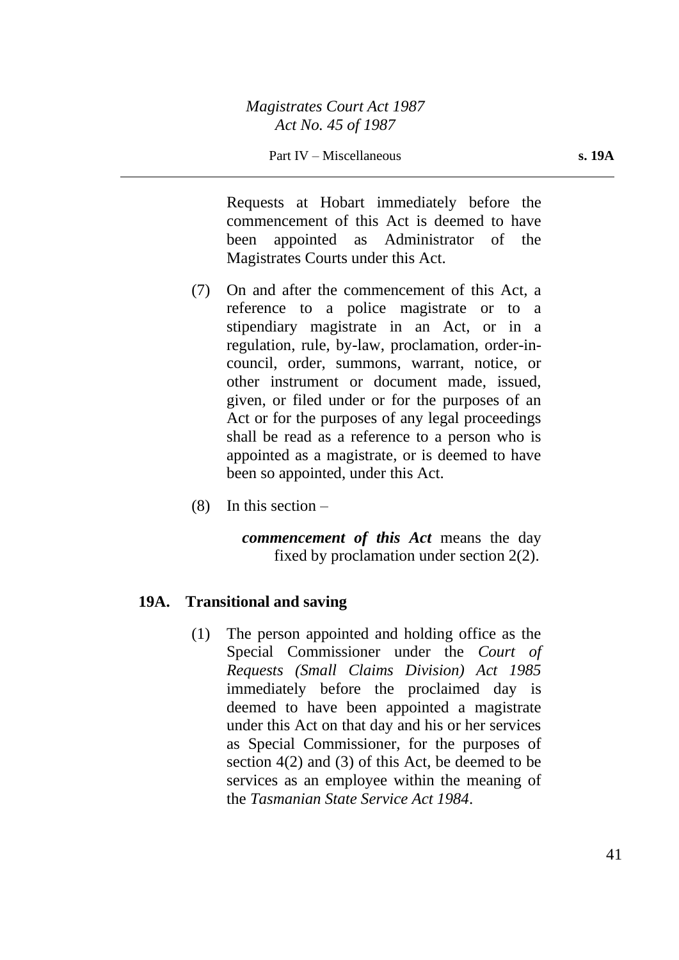Requests at Hobart immediately before the commencement of this Act is deemed to have been appointed as Administrator of the Magistrates Courts under this Act.

- (7) On and after the commencement of this Act, a reference to a police magistrate or to a stipendiary magistrate in an Act, or in a regulation, rule, by-law, proclamation, order-incouncil, order, summons, warrant, notice, or other instrument or document made, issued, given, or filed under or for the purposes of an Act or for the purposes of any legal proceedings shall be read as a reference to a person who is appointed as a magistrate, or is deemed to have been so appointed, under this Act.
- $(8)$  In this section –

*commencement of this Act* means the day fixed by proclamation under section 2(2).

#### **19A. Transitional and saving**

(1) The person appointed and holding office as the Special Commissioner under the *Court of Requests (Small Claims Division) Act 1985* immediately before the proclaimed day is deemed to have been appointed a magistrate under this Act on that day and his or her services as Special Commissioner, for the purposes of section 4(2) and (3) of this Act, be deemed to be services as an employee within the meaning of the *Tasmanian State Service Act 1984*.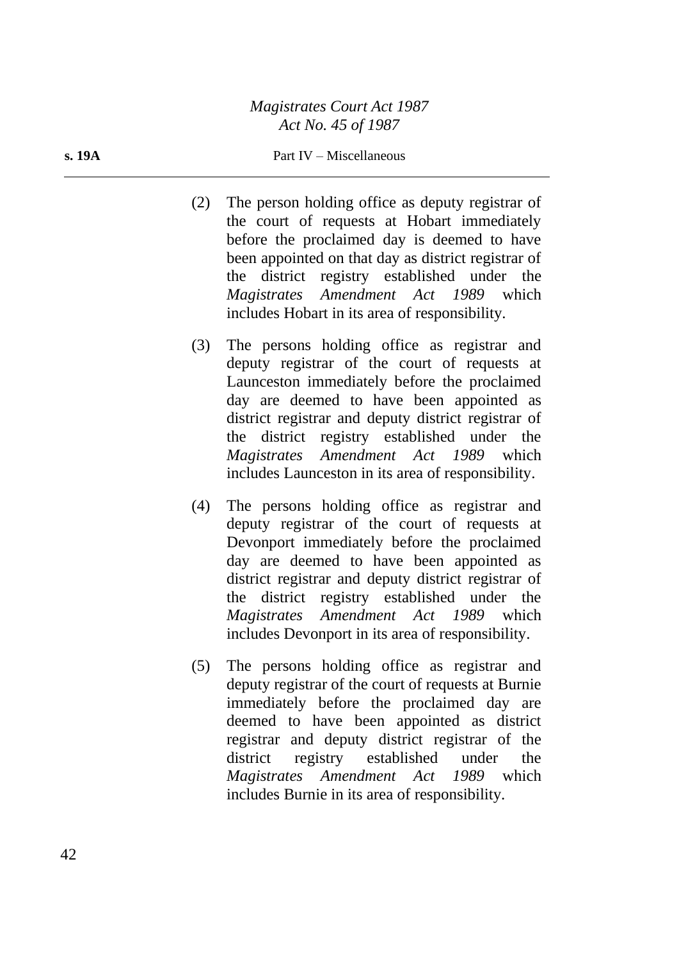#### **s. 19A** Part IV – Miscellaneous

- (2) The person holding office as deputy registrar of the court of requests at Hobart immediately before the proclaimed day is deemed to have been appointed on that day as district registrar of the district registry established under the *Magistrates Amendment Act 1989* which includes Hobart in its area of responsibility.
- (3) The persons holding office as registrar and deputy registrar of the court of requests at Launceston immediately before the proclaimed day are deemed to have been appointed as district registrar and deputy district registrar of the district registry established under the *Magistrates Amendment Act 1989* which includes Launceston in its area of responsibility.
- (4) The persons holding office as registrar and deputy registrar of the court of requests at Devonport immediately before the proclaimed day are deemed to have been appointed as district registrar and deputy district registrar of the district registry established under the *Magistrates Amendment Act 1989* which includes Devonport in its area of responsibility.
- (5) The persons holding office as registrar and deputy registrar of the court of requests at Burnie immediately before the proclaimed day are deemed to have been appointed as district registrar and deputy district registrar of the district registry established under the *Magistrates Amendment Act 1989* which includes Burnie in its area of responsibility.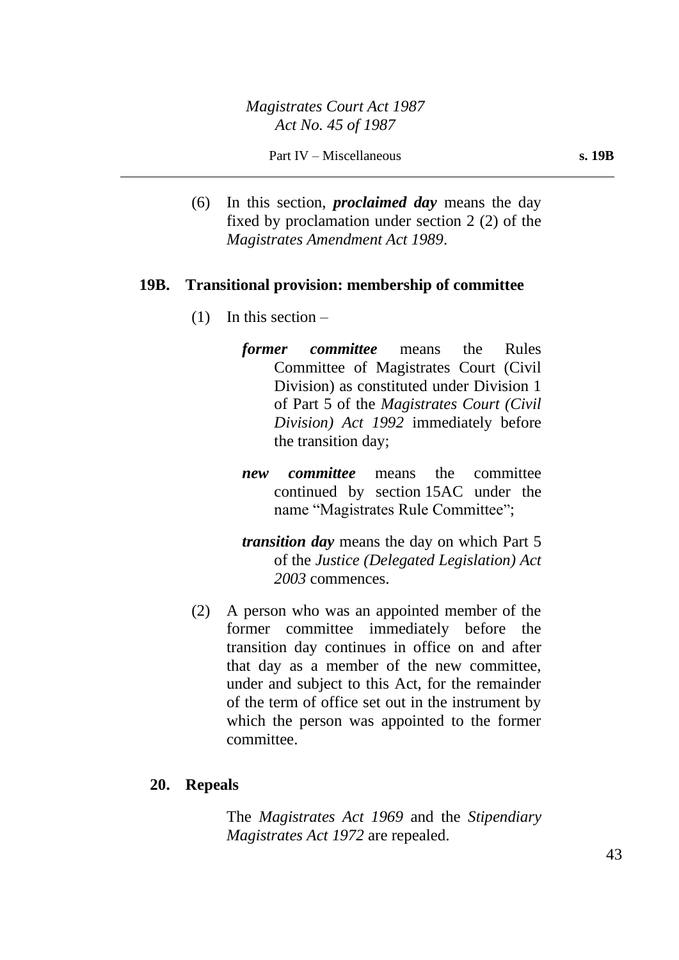(6) In this section, *proclaimed day* means the day fixed by proclamation under section 2 (2) of the *Magistrates Amendment Act 1989*.

#### **19B. Transitional provision: membership of committee**

- $(1)$  In this section
	- *former committee* means the Rules Committee of Magistrates Court (Civil Division) as constituted under Division 1 of Part 5 of the *Magistrates Court (Civil Division) Act 1992* immediately before the transition day;
	- *new committee* means the committee continued by section 15AC under the name "Magistrates Rule Committee";
	- *transition day* means the day on which Part 5 of the *Justice (Delegated Legislation) Act 2003* commences.
- (2) A person who was an appointed member of the former committee immediately before the transition day continues in office on and after that day as a member of the new committee, under and subject to this Act, for the remainder of the term of office set out in the instrument by which the person was appointed to the former committee.

#### **20. Repeals**

The *Magistrates Act 1969* and the *Stipendiary Magistrates Act 1972* are repealed.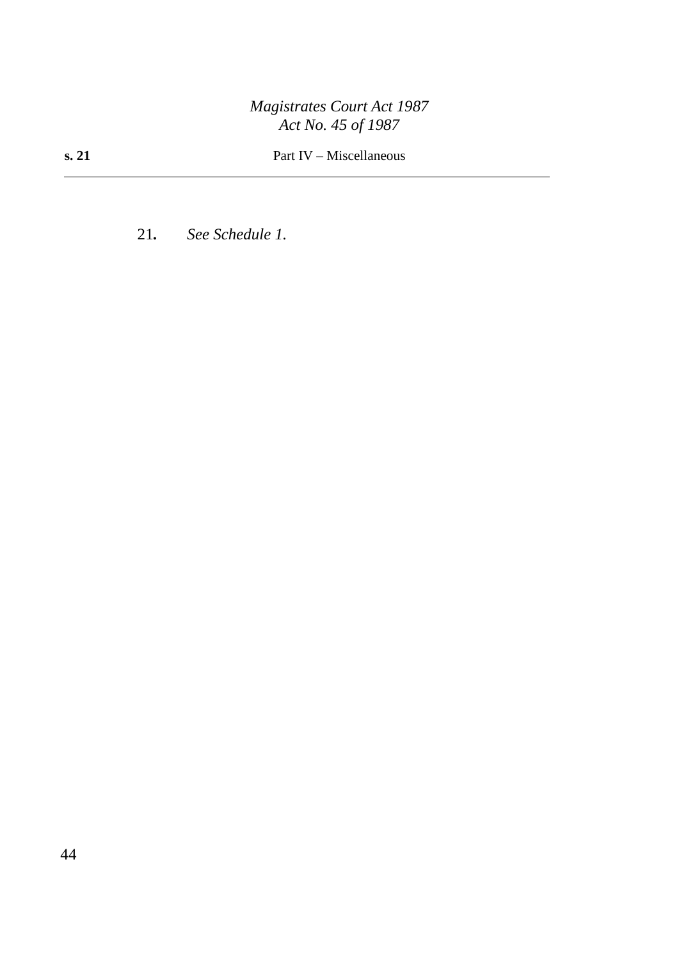21*. See Schedule 1.*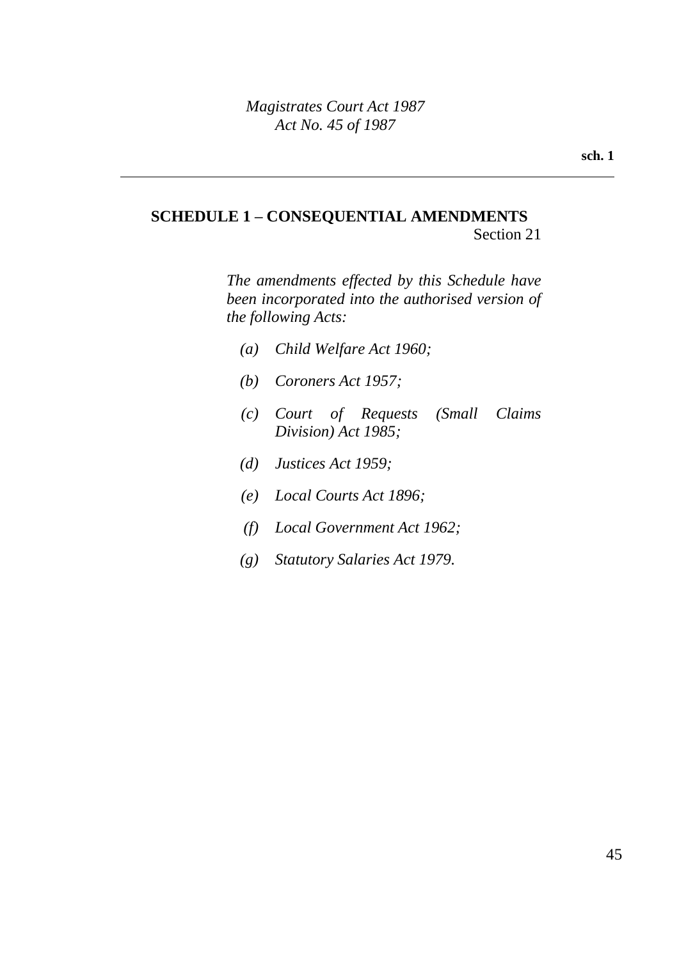# **SCHEDULE 1 – CONSEQUENTIAL AMENDMENTS**

Section 21

*The amendments effected by this Schedule have been incorporated into the authorised version of the following Acts:*

- *(a) Child Welfare Act 1960;*
- *(b) Coroners Act 1957;*
- *(c) Court of Requests (Small Claims Division) Act 1985;*
- *(d) Justices Act 1959;*
- *(e) Local Courts Act 1896;*
- *(f) Local Government Act 1962;*
- *(g) Statutory Salaries Act 1979.*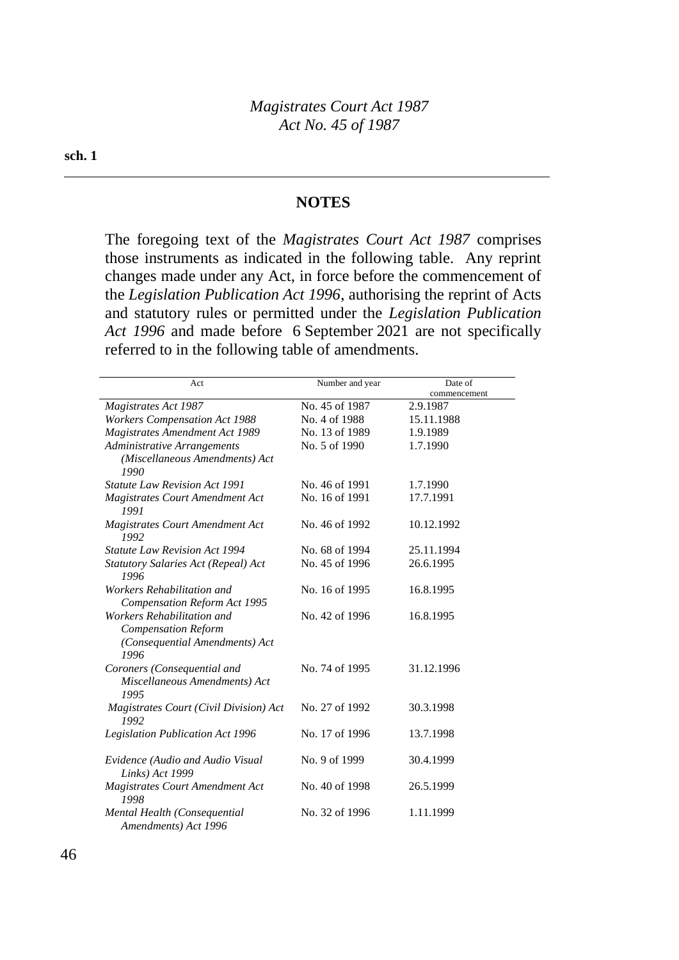#### **NOTES**

The foregoing text of the *Magistrates Court Act 1987* comprises those instruments as indicated in the following table. Any reprint changes made under any Act, in force before the commencement of the *Legislation Publication Act 1996*, authorising the reprint of Acts and statutory rules or permitted under the *Legislation Publication Act 1996* and made before 6 September 2021 are not specifically referred to in the following table of amendments.

| Act                                                                                                | Number and year | Date of      |
|----------------------------------------------------------------------------------------------------|-----------------|--------------|
|                                                                                                    |                 | commencement |
| <b>Magistrates Act 1987</b>                                                                        | No. 45 of 1987  | 2.9.1987     |
| <b>Workers Compensation Act 1988</b>                                                               | No. 4 of 1988   | 15.11.1988   |
| <b>Magistrates Amendment Act 1989</b>                                                              | No. 13 of 1989  | 1.9.1989     |
| Administrative Arrangements                                                                        | No. 5 of 1990   | 1.7.1990     |
| (Miscellaneous Amendments) Act<br>1990                                                             |                 |              |
| <b>Statute Law Revision Act 1991</b>                                                               | No. 46 of 1991  | 1.7.1990     |
| Magistrates Court Amendment Act<br>1991                                                            | No. 16 of 1991  | 17.7.1991    |
| <b>Magistrates Court Amendment Act</b><br>1992                                                     | No. 46 of 1992  | 10.12.1992   |
| <b>Statute Law Revision Act 1994</b>                                                               | No. 68 of 1994  | 25.11.1994   |
| Statutory Salaries Act (Repeal) Act<br>1996                                                        | No. 45 of 1996  | 26.6.1995    |
| Workers Rehabilitation and<br><b>Compensation Reform Act 1995</b>                                  | No. 16 of 1995  | 16.8.1995    |
| Workers Rehabilitation and<br><b>Compensation Reform</b><br>(Consequential Amendments) Act<br>1996 | No. 42 of 1996  | 16.8.1995    |
| Coroners (Consequential and<br>Miscellaneous Amendments) Act<br>1995                               | No. 74 of 1995  | 31.12.1996   |
| Magistrates Court (Civil Division) Act<br>1992                                                     | No. 27 of 1992  | 30.3.1998    |
| <b>Legislation Publication Act 1996</b>                                                            | No. 17 of 1996  | 13.7.1998    |
| Evidence (Audio and Audio Visual<br>Links) Act 1999                                                | No. 9 of 1999   | 30.4.1999    |
| <b>Magistrates Court Amendment Act</b><br>1998                                                     | No. 40 of 1998  | 26.5.1999    |
| Mental Health (Consequential<br>Amendments) Act 1996                                               | No. 32 of 1996  | 1.11.1999    |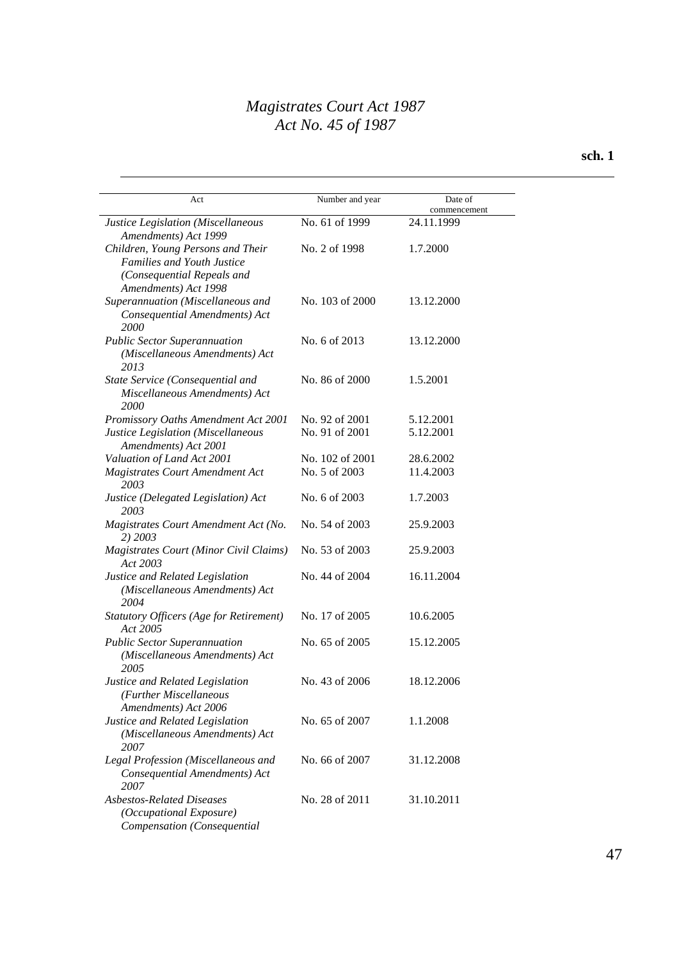#### **sch. 1**

| Act                                                                                                                          | Number and year | Date of<br>commencement |
|------------------------------------------------------------------------------------------------------------------------------|-----------------|-------------------------|
| Justice Legislation (Miscellaneous<br>Amendments) Act 1999                                                                   | No. 61 of 1999  | 24.11.1999              |
| Children, Young Persons and Their<br><b>Families and Youth Justice</b><br>(Consequential Repeals and<br>Amendments) Act 1998 | No. 2 of 1998   | 1.7.2000                |
| Superannuation (Miscellaneous and<br>Consequential Amendments) Act<br><i>2000</i>                                            | No. 103 of 2000 | 13.12.2000              |
| <b>Public Sector Superannuation</b><br>(Miscellaneous Amendments) Act<br>2013                                                | No. 6 of 2013   | 13.12.2000              |
| State Service (Consequential and<br>Miscellaneous Amendments) Act<br>2000                                                    | No. 86 of 2000  | 1.5.2001                |
| Promissory Oaths Amendment Act 2001                                                                                          | No. 92 of 2001  | 5.12.2001               |
| Justice Legislation (Miscellaneous<br>Amendments) Act 2001                                                                   | No. 91 of 2001  | 5.12.2001               |
| Valuation of Land Act 2001                                                                                                   | No. 102 of 2001 | 28.6.2002               |
| Magistrates Court Amendment Act<br>2003                                                                                      | No. 5 of 2003   | 11.4.2003               |
| Justice (Delegated Legislation) Act<br>2003                                                                                  | No. 6 of 2003   | 1.7.2003                |
| Magistrates Court Amendment Act (No.<br>2) 2003                                                                              | No. 54 of 2003  | 25.9.2003               |
| <b>Magistrates Court (Minor Civil Claims)</b><br>Act 2003                                                                    | No. 53 of 2003  | 25.9.2003               |
| Justice and Related Legislation<br>(Miscellaneous Amendments) Act<br>2004                                                    | No. 44 of 2004  | 16.11.2004              |
| <b>Statutory Officers (Age for Retirement)</b><br>Act 2005                                                                   | No. 17 of 2005  | 10.6.2005               |
| <b>Public Sector Superannuation</b><br>(Miscellaneous Amendments) Act<br>2005                                                | No. 65 of 2005  | 15.12.2005              |
| Justice and Related Legislation<br>(Further Miscellaneous<br>Amendments) Act 2006                                            | No. 43 of 2006  | 18.12.2006              |
| Justice and Related Legislation<br>(Miscellaneous Amendments) Act<br>2007                                                    | No. 65 of 2007  | 1.1.2008                |
| Legal Profession (Miscellaneous and<br>Consequential Amendments) Act<br>2007                                                 | No. 66 of 2007  | 31.12.2008              |
| <b>Asbestos-Related Diseases</b><br>(Occupational Exposure)<br>Compensation (Consequential                                   | No. 28 of 2011  | 31.10.2011              |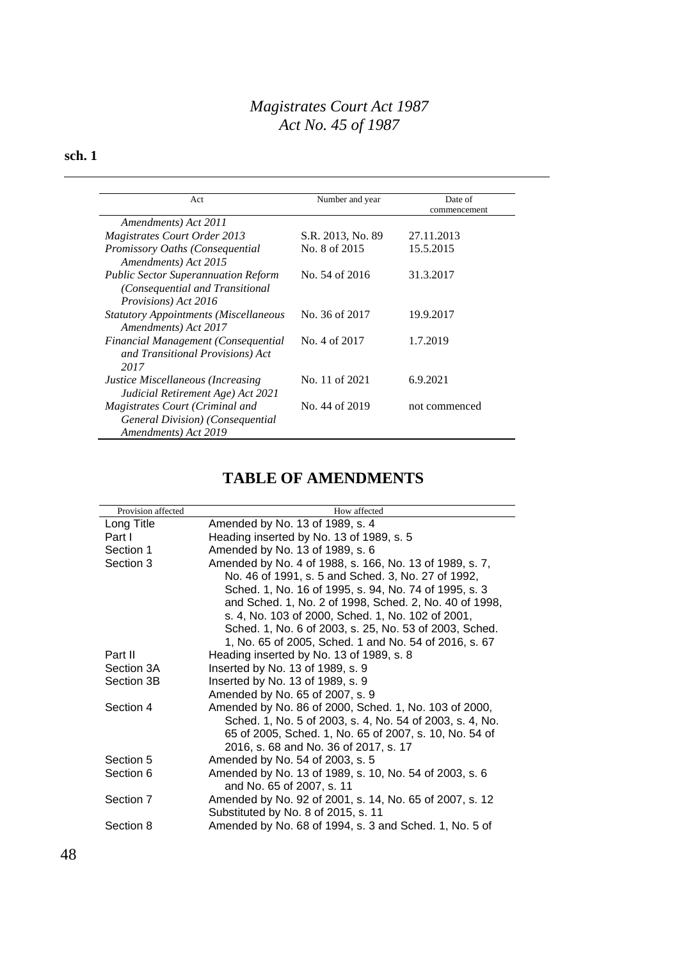#### **sch. 1**

| Act                                                                                                   | Number and year   | Date of<br>commencement |
|-------------------------------------------------------------------------------------------------------|-------------------|-------------------------|
| Amendments) Act 2011                                                                                  |                   |                         |
| <b>Magistrates Court Order 2013</b>                                                                   | S.R. 2013, No. 89 | 27.11.2013              |
| Promissory Oaths (Consequential<br>Amendments) Act 2015                                               | No. 8 of 2015     | 15.5.2015               |
| <b>Public Sector Superannuation Reform</b><br>(Consequential and Transitional<br>Provisions) Act 2016 | No. 54 of 2016    | 31.3.2017               |
| <b>Statutory Appointments (Miscellaneous</b><br>Amendments) Act 2017                                  | No. 36 of 2017    | 19.9.2017               |
| Financial Management (Consequential<br>and Transitional Provisions) Act<br>2017                       | No. 4 of 2017     | 1.7.2019                |
| Justice Miscellaneous (Increasing<br>Judicial Retirement Age) Act 2021                                | No. 11 of 2021    | 6.9.2021                |
| Magistrates Court (Criminal and<br>General Division) (Consequential<br>Amendments) Act 2019           | No. 44 of 2019    | not commenced           |

## **TABLE OF AMENDMENTS**

| Provision affected | How affected                                             |
|--------------------|----------------------------------------------------------|
| Long Title         | Amended by No. 13 of 1989, s. 4                          |
| Part I             | Heading inserted by No. 13 of 1989, s. 5                 |
| Section 1          | Amended by No. 13 of 1989, s. 6                          |
| Section 3          | Amended by No. 4 of 1988, s. 166, No. 13 of 1989, s. 7,  |
|                    | No. 46 of 1991, s. 5 and Sched. 3, No. 27 of 1992,       |
|                    | Sched. 1, No. 16 of 1995, s. 94, No. 74 of 1995, s. 3    |
|                    | and Sched. 1, No. 2 of 1998, Sched. 2, No. 40 of 1998,   |
|                    | s. 4, No. 103 of 2000, Sched. 1, No. 102 of 2001,        |
|                    | Sched. 1, No. 6 of 2003, s. 25, No. 53 of 2003, Sched.   |
|                    | 1, No. 65 of 2005, Sched. 1 and No. 54 of 2016, s. 67    |
| Part II            | Heading inserted by No. 13 of 1989, s. 8                 |
| Section 3A         | Inserted by No. 13 of 1989, s. 9                         |
| Section 3B         | Inserted by No. 13 of 1989, s. 9                         |
|                    | Amended by No. 65 of 2007, s. 9                          |
| Section 4          | Amended by No. 86 of 2000, Sched. 1, No. 103 of 2000,    |
|                    | Sched. 1, No. 5 of 2003, s. 4, No. 54 of 2003, s. 4, No. |
|                    | 65 of 2005, Sched. 1, No. 65 of 2007, s. 10, No. 54 of   |
|                    | 2016, s. 68 and No. 36 of 2017, s. 17                    |
| Section 5          | Amended by No. 54 of 2003, s. 5                          |
| Section 6          | Amended by No. 13 of 1989, s. 10, No. 54 of 2003, s. 6   |
|                    | and No. 65 of 2007, s. 11                                |
| Section 7          | Amended by No. 92 of 2001, s. 14, No. 65 of 2007, s. 12  |
|                    | Substituted by No. 8 of 2015, s. 11                      |
| Section 8          | Amended by No. 68 of 1994, s. 3 and Sched. 1, No. 5 of   |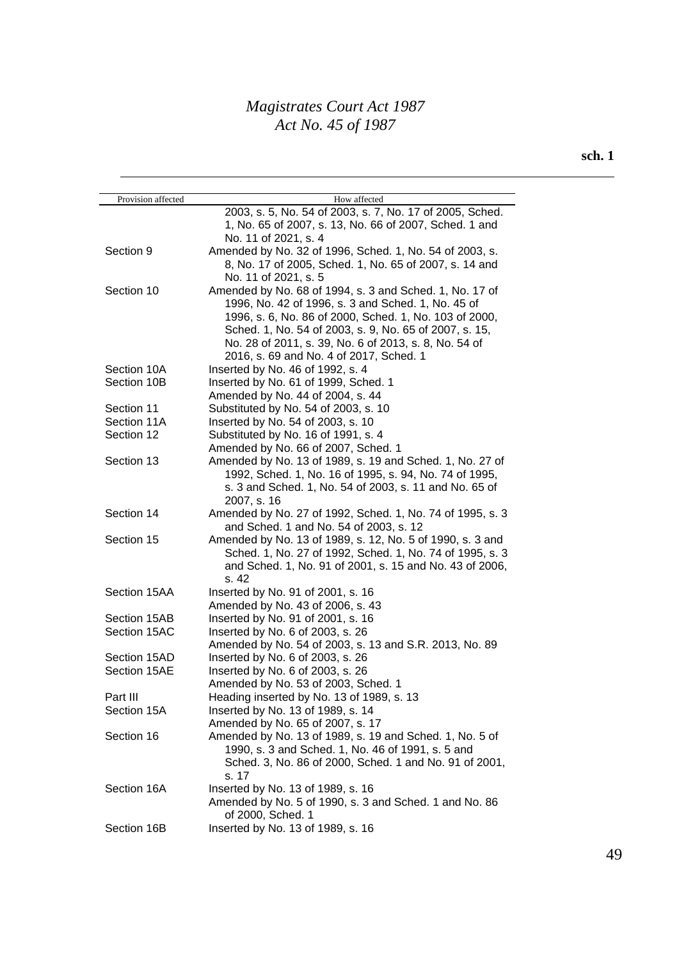| Provision affected | How affected                                              |
|--------------------|-----------------------------------------------------------|
|                    | 2003, s. 5, No. 54 of 2003, s. 7, No. 17 of 2005, Sched.  |
|                    | 1, No. 65 of 2007, s. 13, No. 66 of 2007, Sched. 1 and    |
|                    | No. 11 of 2021, s. 4                                      |
| Section 9          | Amended by No. 32 of 1996, Sched. 1, No. 54 of 2003, s.   |
|                    | 8, No. 17 of 2005, Sched. 1, No. 65 of 2007, s. 14 and    |
|                    | No. 11 of 2021, s. 5                                      |
| Section 10         | Amended by No. 68 of 1994, s. 3 and Sched. 1, No. 17 of   |
|                    | 1996, No. 42 of 1996, s. 3 and Sched. 1, No. 45 of        |
|                    | 1996, s. 6, No. 86 of 2000, Sched. 1, No. 103 of 2000,    |
|                    | Sched. 1, No. 54 of 2003, s. 9, No. 65 of 2007, s. 15,    |
|                    | No. 28 of 2011, s. 39, No. 6 of 2013, s. 8, No. 54 of     |
|                    | 2016, s. 69 and No. 4 of 2017, Sched. 1                   |
|                    |                                                           |
| Section 10A        | Inserted by No. 46 of 1992, s. 4                          |
| Section 10B        | Inserted by No. 61 of 1999, Sched. 1                      |
|                    | Amended by No. 44 of 2004, s. 44                          |
| Section 11         | Substituted by No. 54 of 2003, s. 10                      |
| Section 11A        | Inserted by No. 54 of 2003, s. 10                         |
| Section 12         | Substituted by No. 16 of 1991, s. 4                       |
|                    | Amended by No. 66 of 2007, Sched. 1                       |
| Section 13         | Amended by No. 13 of 1989, s. 19 and Sched. 1, No. 27 of  |
|                    | 1992, Sched. 1, No. 16 of 1995, s. 94, No. 74 of 1995,    |
|                    | s. 3 and Sched. 1, No. 54 of 2003, s. 11 and No. 65 of    |
|                    | 2007, s. 16                                               |
| Section 14         | Amended by No. 27 of 1992, Sched. 1, No. 74 of 1995, s. 3 |
|                    | and Sched. 1 and No. 54 of 2003, s. 12                    |
| Section 15         | Amended by No. 13 of 1989, s. 12, No. 5 of 1990, s. 3 and |
|                    | Sched. 1, No. 27 of 1992, Sched. 1, No. 74 of 1995, s. 3  |
|                    | and Sched. 1, No. 91 of 2001, s. 15 and No. 43 of 2006,   |
|                    | s. 42                                                     |
| Section 15AA       | Inserted by No. 91 of 2001, s. 16                         |
|                    | Amended by No. 43 of 2006, s. 43                          |
| Section 15AB       | Inserted by No. 91 of 2001, s. 16                         |
| Section 15AC       | Inserted by No. 6 of 2003, s. 26                          |
|                    | Amended by No. 54 of 2003, s. 13 and S.R. 2013, No. 89    |
| Section 15AD       | Inserted by No. 6 of 2003, s. 26                          |
| Section 15AE       | Inserted by No. 6 of 2003, s. 26                          |
|                    | Amended by No. 53 of 2003, Sched. 1                       |
| Part III           | Heading inserted by No. 13 of 1989, s. 13                 |
| Section 15A        | Inserted by No. 13 of 1989, s. 14                         |
|                    | Amended by No. 65 of 2007, s. 17                          |
| Section 16         | Amended by No. 13 of 1989, s. 19 and Sched. 1, No. 5 of   |
|                    |                                                           |
|                    | 1990, s. 3 and Sched. 1, No. 46 of 1991, s. 5 and         |
|                    | Sched. 3, No. 86 of 2000, Sched. 1 and No. 91 of 2001,    |
|                    | s. 17                                                     |
| Section 16A        | Inserted by No. 13 of 1989, s. 16                         |
|                    | Amended by No. 5 of 1990, s. 3 and Sched. 1 and No. 86    |
|                    | of 2000, Sched. 1                                         |
| Section 16B        | Inserted by No. 13 of 1989, s. 16                         |
|                    |                                                           |